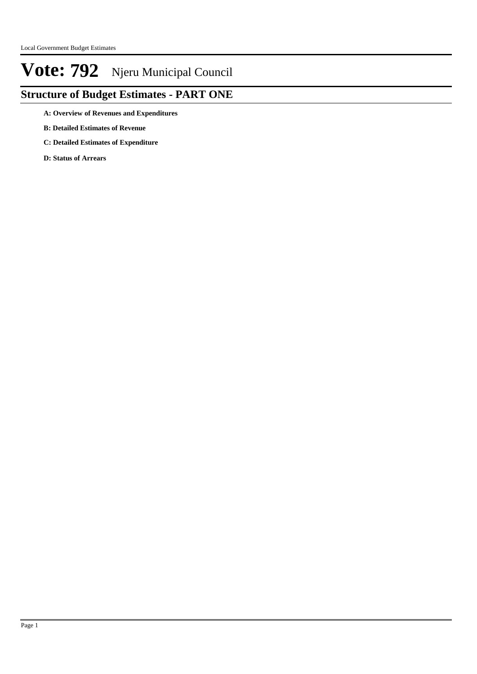## **Structure of Budget Estimates - PART ONE**

**A: Overview of Revenues and Expenditures**

- **B: Detailed Estimates of Revenue**
- **C: Detailed Estimates of Expenditure**

**D: Status of Arrears**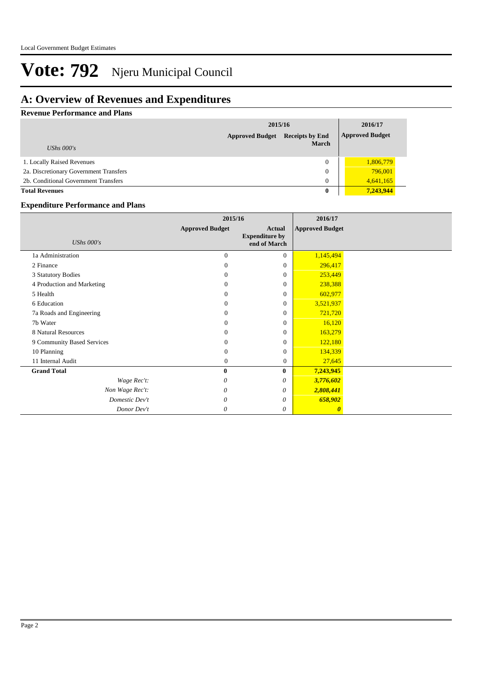### **A: Overview of Revenues and Expenditures**

#### **Revenue Performance and Plans**

|                                        | 2015/16                | 2016/17                                |                        |  |
|----------------------------------------|------------------------|----------------------------------------|------------------------|--|
|                                        | <b>Approved Budget</b> | <b>Receipts by End</b><br><b>March</b> | <b>Approved Budget</b> |  |
| UShs $000's$                           |                        |                                        |                        |  |
| 1. Locally Raised Revenues             |                        | $\mathbf{0}$                           | 1,806,779              |  |
| 2a. Discretionary Government Transfers |                        | $\overline{0}$                         | 796,001                |  |
| 2b. Conditional Government Transfers   |                        | $\Omega$                               | 4,641,165              |  |
| <b>Total Revenues</b>                  |                        | $\bf{0}$                               | 7,243,944              |  |

#### **Expenditure Performance and Plans**

|                            | 2015/16                |                                                        | 2016/17                |  |
|----------------------------|------------------------|--------------------------------------------------------|------------------------|--|
| <b>UShs 000's</b>          | <b>Approved Budget</b> | <b>Actual</b><br><b>Expenditure by</b><br>end of March | <b>Approved Budget</b> |  |
| 1a Administration          | $\overline{0}$         | $\Omega$                                               | 1,145,494              |  |
| 2 Finance                  | $\Omega$               | $\theta$                                               | 296,417                |  |
| 3 Statutory Bodies         | $\Omega$               | $\theta$                                               | 253,449                |  |
| 4 Production and Marketing | $\Omega$               | $\theta$                                               | 238,388                |  |
| 5 Health                   | $\Omega$               | $\theta$                                               | 602,977                |  |
| 6 Education                | $\Omega$               | $\theta$                                               | 3,521,937              |  |
| 7a Roads and Engineering   | $\Omega$               | $\theta$                                               | 721,720                |  |
| 7b Water                   | $\Omega$               | $\theta$                                               | 16,120                 |  |
| 8 Natural Resources        | $\Omega$               | $\theta$                                               | 163,279                |  |
| 9 Community Based Services | $\Omega$               | $\Omega$                                               | 122,180                |  |
| 10 Planning                | $\Omega$               | $\theta$                                               | 134,339                |  |
| 11 Internal Audit          | $\Omega$               | $\theta$                                               | 27,645                 |  |
| <b>Grand Total</b>         | $\mathbf{0}$           | $\bf{0}$                                               | 7,243,945              |  |
| Wage Rec't:                | 0                      | 0                                                      | 3,776,602              |  |
| Non Wage Rec't:            | 0                      | 0                                                      | 2,808,441              |  |
| Domestic Dev't             | 0                      | 0                                                      | 658,902                |  |
| Donor Dev't                | 0                      | 0                                                      | $\boldsymbol{\theta}$  |  |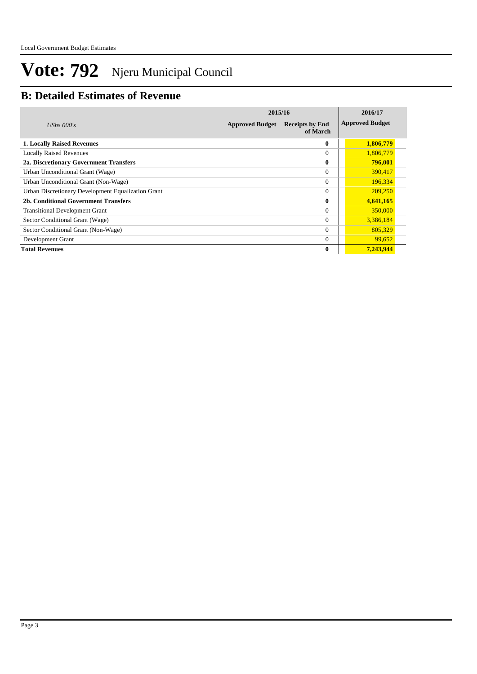### **B: Detailed Estimates of Revenue**

|                                                    | 2015/16                | 2016/17                            |                        |
|----------------------------------------------------|------------------------|------------------------------------|------------------------|
| UShs $000's$                                       | <b>Approved Budget</b> | <b>Receipts by End</b><br>of March | <b>Approved Budget</b> |
| <b>1. Locally Raised Revenues</b>                  |                        | 0                                  | 1,806,779              |
| <b>Locally Raised Revenues</b>                     |                        | $\theta$                           | 1,806,779              |
| 2a. Discretionary Government Transfers             |                        | 0                                  | 796,001                |
| Urban Unconditional Grant (Wage)                   |                        | $\theta$                           | 390,417                |
| Urban Unconditional Grant (Non-Wage)               |                        | $\Omega$                           | 196,334                |
| Urban Discretionary Development Equalization Grant |                        | $\theta$                           | 209,250                |
| 2b. Conditional Government Transfers               |                        | 0                                  | 4,641,165              |
| <b>Transitional Development Grant</b>              |                        | $\Omega$                           | 350,000                |
| Sector Conditional Grant (Wage)                    |                        | $\Omega$                           | 3,386,184              |
| Sector Conditional Grant (Non-Wage)                |                        | $\Omega$                           | 805,329                |
| Development Grant                                  |                        | $\Omega$                           | 99.652                 |
| <b>Total Revenues</b>                              |                        | $\bf{0}$                           | 7,243,944              |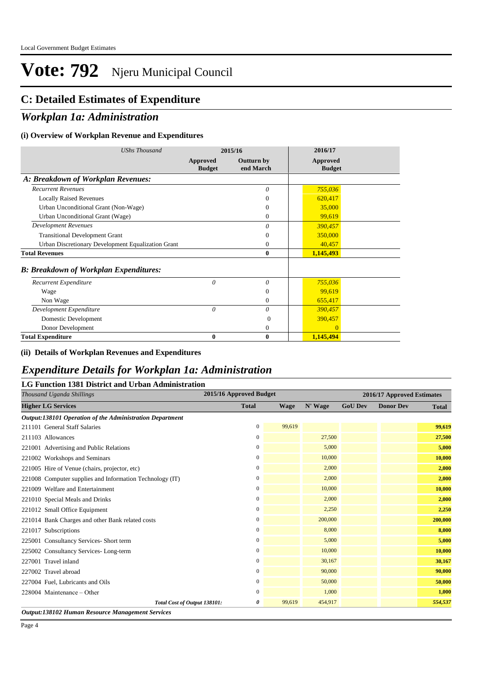### **C: Detailed Estimates of Expenditure**

### *Workplan 1a: Administration*

#### **(i) Overview of Workplan Revenue and Expenditures**

| <b>UShs Thousand</b>                               |                           | 2015/16                        | 2016/17                   |
|----------------------------------------------------|---------------------------|--------------------------------|---------------------------|
|                                                    | Approved<br><b>Budget</b> | <b>Outturn by</b><br>end March | Approved<br><b>Budget</b> |
| A: Breakdown of Workplan Revenues:                 |                           |                                |                           |
| <b>Recurrent Revenues</b>                          |                           | $\theta$                       | 755,036                   |
| <b>Locally Raised Revenues</b>                     |                           | 0                              | 620,417                   |
| Urban Unconditional Grant (Non-Wage)               |                           | $\Omega$                       | 35,000                    |
| Urban Unconditional Grant (Wage)                   |                           | $\Omega$                       | 99,619                    |
| <b>Development Revenues</b>                        |                           | $\theta$                       | 390,457                   |
| <b>Transitional Development Grant</b>              |                           | $\Omega$                       | 350,000                   |
| Urban Discretionary Development Equalization Grant |                           | $\Omega$                       | 40,457                    |
| <b>Total Revenues</b>                              |                           | $\mathbf{0}$                   | 1,145,493                 |
| <b>B: Breakdown of Workplan Expenditures:</b>      |                           |                                |                           |
| Recurrent Expenditure                              | 0                         | 0                              | 755,036                   |
| Wage                                               |                           | $\Omega$                       | 99,619                    |
| Non Wage                                           |                           | $\theta$                       | 655,417                   |
| Development Expenditure                            | $\theta$                  | 0                              | 390,457                   |
| Domestic Development                               |                           | $\Omega$                       | 390,457                   |
| Donor Development                                  |                           | 0                              | $\Omega$                  |
| <b>Total Expenditure</b>                           | 0                         | $\boldsymbol{0}$               | 1,145,494                 |

#### **(ii) Details of Workplan Revenues and Expenditures**

#### *Expenditure Details for Workplan 1a: Administration* **LG Function 1381 District and Urban Administration**

| Thousand Uganda Shillings                                | 2015/16 Approved Budget |             |         |                | 2016/17 Approved Estimates |              |
|----------------------------------------------------------|-------------------------|-------------|---------|----------------|----------------------------|--------------|
| <b>Higher LG Services</b>                                | <b>Total</b>            | <b>Wage</b> | N' Wage | <b>GoU Dev</b> | <b>Donor Dev</b>           | <b>Total</b> |
| Output:138101 Operation of the Administration Department |                         |             |         |                |                            |              |
| 211101 General Staff Salaries                            | $\Omega$                | 99,619      |         |                |                            | 99,619       |
| 211103 Allowances                                        | $\mathbf{0}$            |             | 27,500  |                |                            | 27,500       |
| 221001 Advertising and Public Relations                  | $\mathbf{0}$            |             | 5,000   |                |                            | 5,000        |
| 221002 Workshops and Seminars                            | $\mathbf{0}$            |             | 10,000  |                |                            | 10,000       |
| 221005 Hire of Venue (chairs, projector, etc)            | $\mathbf{0}$            |             | 2,000   |                |                            | 2,000        |
| 221008 Computer supplies and Information Technology (IT) | $\mathbf{0}$            |             | 2,000   |                |                            | 2,000        |
| 221009 Welfare and Entertainment                         | $\mathbf{0}$            |             | 10,000  |                |                            | 10,000       |
| 221010 Special Meals and Drinks                          | $\mathbf{0}$            |             | 2,000   |                |                            | 2,000        |
| 221012 Small Office Equipment                            | $\Omega$                |             | 2,250   |                |                            | 2,250        |
| 221014 Bank Charges and other Bank related costs         | $\boldsymbol{0}$        |             | 200,000 |                |                            | 200,000      |
| 221017 Subscriptions                                     | $\mathbf{0}$            |             | 8,000   |                |                            | 8,000        |
| 225001 Consultancy Services- Short term                  | $\mathbf{0}$            |             | 5,000   |                |                            | 5,000        |
| 225002 Consultancy Services-Long-term                    | $\boldsymbol{0}$        |             | 10,000  |                |                            | 10,000       |
| 227001 Travel inland                                     | $\mathbf{0}$            |             | 30,167  |                |                            | 30,167       |
| 227002 Travel abroad                                     | $\Omega$                |             | 90,000  |                |                            | 90,000       |
| 227004 Fuel, Lubricants and Oils                         | $\mathbf{0}$            |             | 50,000  |                |                            | 50,000       |
| $228004$ Maintenance – Other                             | 0                       |             | 1,000   |                |                            | 1,000        |
| Total Cost of Output 138101:                             | 0                       | 99.619      | 454,917 |                |                            | 554,537      |
| Output:138102 Human Resource Management Services         |                         |             |         |                |                            |              |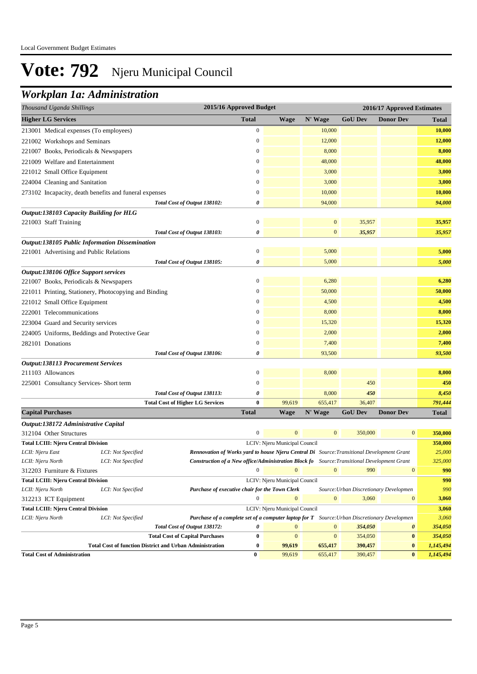## *Workplan 1a: Administration*

| Thousand Uganda Shillings                                       |                    |                                                                                                     | 2015/16 Approved Budget |                               |                  |                                        | 2016/17 Approved Estimates |              |
|-----------------------------------------------------------------|--------------------|-----------------------------------------------------------------------------------------------------|-------------------------|-------------------------------|------------------|----------------------------------------|----------------------------|--------------|
| <b>Higher LG Services</b>                                       |                    |                                                                                                     | <b>Total</b>            | <b>Wage</b>                   | N' Wage          | <b>GoU Dev</b>                         | <b>Donor Dev</b>           | Total        |
| 213001 Medical expenses (To employees)                          |                    |                                                                                                     | $\boldsymbol{0}$        |                               | 10,000           |                                        |                            | 10,000       |
| 221002 Workshops and Seminars                                   |                    |                                                                                                     | $\boldsymbol{0}$        |                               | 12,000           |                                        |                            | 12,000       |
| 221007 Books, Periodicals & Newspapers                          |                    |                                                                                                     | $\mathbf{0}$            |                               | 8,000            |                                        |                            | 8,000        |
| 221009 Welfare and Entertainment                                |                    |                                                                                                     | $\mathbf{0}$            |                               | 48,000           |                                        |                            | 48,000       |
| 221012 Small Office Equipment                                   |                    |                                                                                                     | $\mathbf{0}$            |                               | 3,000            |                                        |                            | 3,000        |
| 224004 Cleaning and Sanitation                                  |                    |                                                                                                     | $\mathbf{0}$            |                               | 3,000            |                                        |                            | 3,000        |
| 273102 Incapacity, death benefits and funeral expenses          |                    |                                                                                                     | $\mathbf{0}$            |                               | 10,000           |                                        |                            | 10,000       |
|                                                                 |                    | Total Cost of Output 138102:                                                                        | 0                       |                               | 94,000           |                                        |                            | 94,000       |
| Output:138103 Capacity Building for HLG                         |                    |                                                                                                     |                         |                               |                  |                                        |                            |              |
| 221003 Staff Training                                           |                    |                                                                                                     | $\boldsymbol{0}$        |                               | $\boldsymbol{0}$ | 35,957                                 |                            | 35,957       |
|                                                                 |                    | Total Cost of Output 138103:                                                                        | 0                       |                               | $\mathbf{0}$     | 35,957                                 |                            | 35,957       |
| Output:138105 Public Information Dissemination                  |                    |                                                                                                     |                         |                               |                  |                                        |                            |              |
| 221001 Advertising and Public Relations                         |                    |                                                                                                     | $\boldsymbol{0}$        |                               | 5,000            |                                        |                            | 5,000        |
|                                                                 |                    | Total Cost of Output 138105:                                                                        | 0                       |                               | 5,000            |                                        |                            | 5,000        |
| Output:138106 Office Support services                           |                    |                                                                                                     |                         |                               |                  |                                        |                            |              |
| 221007 Books, Periodicals & Newspapers                          |                    |                                                                                                     | $\mathbf{0}$            |                               | 6,280            |                                        |                            | 6,280        |
| 221011 Printing, Stationery, Photocopying and Binding           |                    |                                                                                                     | $\mathbf{0}$            |                               | 50,000           |                                        |                            | 50,000       |
| 221012 Small Office Equipment                                   |                    |                                                                                                     | $\mathbf{0}$            |                               | 4,500            |                                        |                            | 4,500        |
| 222001 Telecommunications                                       |                    |                                                                                                     | $\mathbf{0}$            |                               | 8,000            |                                        |                            | 8,000        |
| 223004 Guard and Security services                              |                    |                                                                                                     | $\mathbf{0}$            |                               | 15,320           |                                        |                            | 15,320       |
| 224005 Uniforms, Beddings and Protective Gear                   |                    |                                                                                                     | $\boldsymbol{0}$        |                               | 2,000            |                                        |                            | 2,000        |
| 282101 Donations                                                |                    |                                                                                                     | $\mathbf{0}$            |                               | 7,400            |                                        |                            | 7,400        |
|                                                                 |                    | Total Cost of Output 138106:                                                                        | 0                       |                               | 93,500           |                                        |                            | 93,500       |
| <b>Output:138113 Procurement Services</b>                       |                    |                                                                                                     |                         |                               |                  |                                        |                            |              |
| 211103 Allowances                                               |                    |                                                                                                     | $\mathbf{0}$            |                               | 8,000            |                                        |                            | 8,000        |
| 225001 Consultancy Services-Short term                          |                    |                                                                                                     | $\boldsymbol{0}$        |                               |                  | 450                                    |                            | 450          |
|                                                                 |                    | Total Cost of Output 138113:                                                                        | 0                       |                               | 8,000            | 450                                    |                            | 8,450        |
|                                                                 |                    | <b>Total Cost of Higher LG Services</b>                                                             | $\bf{0}$                | 99,619                        | 655,417          | 36,407                                 |                            | 791,444      |
| <b>Capital Purchases</b>                                        |                    |                                                                                                     | <b>Total</b>            | <b>Wage</b>                   | N' Wage          | <b>GoU Dev</b>                         | <b>Donor Dev</b>           | <b>Total</b> |
| Output:138172 Administrative Capital                            |                    |                                                                                                     |                         |                               |                  |                                        |                            |              |
| 312104 Other Structures                                         |                    |                                                                                                     | $\mathbf{0}$            | $\mathbf{0}$                  | $\boldsymbol{0}$ | 350,000                                | $\mathbf{0}$               | 350,000      |
| <b>Total LCIII: Njeru Central Division</b>                      |                    |                                                                                                     |                         | LCIV: Njeru Municipal Council |                  |                                        |                            | 350,000      |
| LCII: Njeru East                                                | LCI: Not Specified | <b>Rennovation of Works yard to house Njeru Central Di</b> Source: Transitional Development Grant   |                         |                               |                  |                                        |                            | 25,000       |
| LCII: Njeru North                                               | LCI: Not Specified | Construction of a New office/Administration Block fo Source: Transitional Development Grant         | $\mathbf{0}$            | $\overline{0}$                |                  |                                        |                            | 325,000      |
| 312203 Furniture & Fixtures                                     |                    |                                                                                                     |                         |                               | $\mathbf{0}$     | 990                                    | $\mathbf{0}$               | 990          |
| <b>Total LCIII: Njeru Central Division</b><br>LCII: Njeru North | LCI: Not Specified | Purchase of executive chair for the Town Clerk                                                      |                         | LCIV: Njeru Municipal Council |                  | Source: Urban Discretionary Developmen |                            | 990<br>990   |
| 312213 ICT Equipment                                            |                    |                                                                                                     | $\mathbf{0}$            | $\mathbf{0}$                  | $\mathbf{0}$     | 3,060                                  | $\bf{0}$                   | 3,060        |
| <b>Total LCIII: Njeru Central Division</b>                      |                    |                                                                                                     |                         | LCIV: Njeru Municipal Council |                  |                                        |                            | 3,060        |
| LCII: Njeru North                                               | LCI: Not Specified | <b>Purchase of a complete set of a computer laptop for T</b> Source: Urban Discretionary Developmen |                         |                               |                  |                                        |                            | 3,060        |
|                                                                 |                    | Total Cost of Output 138172:                                                                        | 0                       | $\mathbf{0}$                  | $\boldsymbol{0}$ | 354,050                                | $\boldsymbol{\theta}$      | 354,050      |
|                                                                 |                    | <b>Total Cost of Capital Purchases</b>                                                              | $\bf{0}$                | $\mathbf{0}$                  | $\mathbf{0}$     | 354,050                                | $\bf{0}$                   | 354,050      |
|                                                                 |                    | <b>Total Cost of function District and Urban Administration</b>                                     | $\bf{0}$                | 99,619                        | 655,417          | 390,457                                | $\bf{0}$                   | 1,145,494    |
| <b>Total Cost of Administration</b>                             |                    |                                                                                                     | $\bf{0}$                | 99,619                        | 655,417          | 390,457                                | $\bf{0}$                   | 1,145,494    |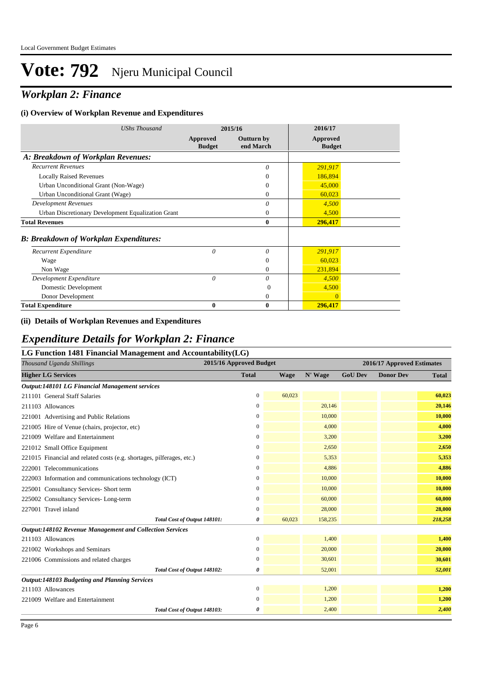## *Workplan 2: Finance*

#### **(i) Overview of Workplan Revenue and Expenditures**

| UShs Thousand                                      | 2015/16                          |                                | 2016/17                          |
|----------------------------------------------------|----------------------------------|--------------------------------|----------------------------------|
|                                                    | <b>Approved</b><br><b>Budget</b> | <b>Outturn by</b><br>end March | <b>Approved</b><br><b>Budget</b> |
| A: Breakdown of Workplan Revenues:                 |                                  |                                |                                  |
| <b>Recurrent Revenues</b>                          |                                  | 0                              | 291,917                          |
| <b>Locally Raised Revenues</b>                     |                                  | $\Omega$                       | 186,894                          |
| Urban Unconditional Grant (Non-Wage)               |                                  | $\theta$                       | 45,000                           |
| Urban Unconditional Grant (Wage)                   |                                  | $\Omega$                       | 60,023                           |
| <b>Development Revenues</b>                        |                                  | $\theta$                       | 4,500                            |
| Urban Discretionary Development Equalization Grant |                                  | $\Omega$                       | 4,500                            |
| <b>Total Revenues</b>                              |                                  | $\boldsymbol{0}$               | 296,417                          |
| <b>B: Breakdown of Workplan Expenditures:</b>      |                                  |                                |                                  |
| Recurrent Expenditure                              | $\theta$                         | 0                              | 291,917                          |
| Wage                                               |                                  | $\Omega$                       | 60,023                           |
| Non Wage                                           |                                  | $\Omega$                       | 231,894                          |
| Development Expenditure                            | $\theta$                         | 0                              | 4,500                            |
| Domestic Development                               |                                  | $\theta$                       | 4,500                            |
| Donor Development                                  |                                  | 0                              | $\Omega$                         |
| <b>Total Expenditure</b>                           | 0                                | $\mathbf{0}$                   | 296,417                          |

#### **(ii) Details of Workplan Revenues and Expenditures**

### *Expenditure Details for Workplan 2: Finance*

| LG Function 1481 Financial Management and Accountability $(LG)$       |                         |                            |         |                |                  |              |  |  |  |  |
|-----------------------------------------------------------------------|-------------------------|----------------------------|---------|----------------|------------------|--------------|--|--|--|--|
| Thousand Uganda Shillings                                             | 2015/16 Approved Budget | 2016/17 Approved Estimates |         |                |                  |              |  |  |  |  |
| <b>Higher LG Services</b>                                             | <b>Total</b>            | <b>Wage</b>                | N' Wage | <b>GoU Dev</b> | <b>Donor Dev</b> | <b>Total</b> |  |  |  |  |
| Output:148101 LG Financial Management services                        |                         |                            |         |                |                  |              |  |  |  |  |
| 211101 General Staff Salaries                                         | $\mathbf{0}$            | 60,023                     |         |                |                  | 60,023       |  |  |  |  |
| 211103 Allowances                                                     | $\overline{0}$          |                            | 20,146  |                |                  | 20,146       |  |  |  |  |
| 221001 Advertising and Public Relations                               | $\overline{0}$          |                            | 10,000  |                |                  | 10,000       |  |  |  |  |
| 221005 Hire of Venue (chairs, projector, etc)                         | $\overline{0}$          |                            | 4,000   |                |                  | 4,000        |  |  |  |  |
| 221009 Welfare and Entertainment                                      | $\mathbf{0}$            |                            | 3,200   |                |                  | 3,200        |  |  |  |  |
| 221012 Small Office Equipment                                         | $\mathbf{0}$            |                            | 2,650   |                |                  | 2,650        |  |  |  |  |
| 221015 Financial and related costs (e.g. shortages, pilferages, etc.) | $\mathbf{0}$            |                            | 5,353   |                |                  | 5,353        |  |  |  |  |
| 222001 Telecommunications                                             | 0                       |                            | 4,886   |                |                  | 4,886        |  |  |  |  |
| 222003 Information and communications technology (ICT)                | $\boldsymbol{0}$        |                            | 10,000  |                |                  | 10,000       |  |  |  |  |
| 225001 Consultancy Services- Short term                               | 0                       |                            | 10,000  |                |                  | 10,000       |  |  |  |  |
| 225002 Consultancy Services-Long-term                                 | $\boldsymbol{0}$        |                            | 60,000  |                |                  | 60,000       |  |  |  |  |
| 227001 Travel inland                                                  | $\Omega$                |                            | 28,000  |                |                  | 28,000       |  |  |  |  |
| Total Cost of Output 148101:                                          | 0                       | 60,023                     | 158,235 |                |                  | 218,258      |  |  |  |  |
| Output:148102 Revenue Management and Collection Services              |                         |                            |         |                |                  |              |  |  |  |  |
| 211103 Allowances                                                     | $\mathbf{0}$            |                            | 1,400   |                |                  | 1,400        |  |  |  |  |
| 221002 Workshops and Seminars                                         | $\boldsymbol{0}$        |                            | 20,000  |                |                  | 20,000       |  |  |  |  |
| 221006 Commissions and related charges                                | 0                       |                            | 30,601  |                |                  | 30,601       |  |  |  |  |
| Total Cost of Output 148102:                                          | 0                       |                            | 52,001  |                |                  | 52,001       |  |  |  |  |
| Output:148103 Budgeting and Planning Services                         |                         |                            |         |                |                  |              |  |  |  |  |
| 211103 Allowances                                                     | $\mathbf{0}$            |                            | 1,200   |                |                  | 1,200        |  |  |  |  |
| 221009 Welfare and Entertainment                                      | $\mathbf{0}$            |                            | 1,200   |                |                  | 1,200        |  |  |  |  |
| Total Cost of Output 148103:                                          | 0                       |                            | 2,400   |                |                  | 2,400        |  |  |  |  |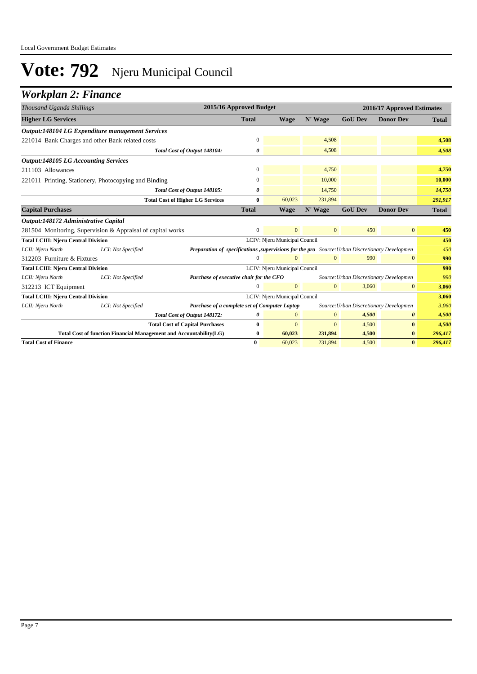### *Workplan 2: Finance*

| Thousand Uganda Shillings                   |                                                                    | 2015/16 Approved Budget<br>2016/17 Approved Estimates                                          |                |                               |                |                                        |                  |              |
|---------------------------------------------|--------------------------------------------------------------------|------------------------------------------------------------------------------------------------|----------------|-------------------------------|----------------|----------------------------------------|------------------|--------------|
| <b>Higher LG Services</b>                   |                                                                    |                                                                                                | <b>Total</b>   | <b>Wage</b>                   | N' Wage        | <b>GoU Dev</b>                         | <b>Donor Dev</b> | <b>Total</b> |
|                                             | Output:148104 LG Expenditure management Services                   |                                                                                                |                |                               |                |                                        |                  |              |
|                                             | 221014 Bank Charges and other Bank related costs                   |                                                                                                | $\mathbf{0}$   |                               | 4,508          |                                        |                  | 4,508        |
|                                             |                                                                    | Total Cost of Output 148104:                                                                   | 0              |                               | 4,508          |                                        |                  | 4,508        |
| <b>Output:148105 LG Accounting Services</b> |                                                                    |                                                                                                |                |                               |                |                                        |                  |              |
| 211103 Allowances                           |                                                                    |                                                                                                | $\mathbf{0}$   |                               | 4,750          |                                        |                  | 4,750        |
|                                             | 221011 Printing, Stationery, Photocopying and Binding              |                                                                                                | 0              |                               | 10,000         |                                        |                  | 10,000       |
|                                             |                                                                    | Total Cost of Output 148105:                                                                   | 0              |                               | 14,750         |                                        |                  | 14,750       |
|                                             |                                                                    | <b>Total Cost of Higher LG Services</b>                                                        | $\bf{0}$       | 60,023                        | 231,894        |                                        |                  | 291,917      |
| <b>Capital Purchases</b>                    |                                                                    |                                                                                                | <b>Total</b>   | <b>Wage</b>                   | N' Wage        | <b>GoU Dev</b>                         | <b>Donor Dev</b> | <b>Total</b> |
| Output:148172 Administrative Capital        |                                                                    |                                                                                                |                |                               |                |                                        |                  |              |
|                                             | 281504 Monitoring, Supervision & Appraisal of capital works        |                                                                                                | $\Omega$       | $\theta$                      | $\overline{0}$ | 450                                    | $\overline{0}$   | 450          |
| <b>Total LCIII: Njeru Central Division</b>  |                                                                    |                                                                                                |                | LCIV: Njeru Municipal Council |                |                                        |                  | 450          |
| LCII: Njeru North                           | LCI: Not Specified                                                 | Preparation of specifications, supervisions for the pro Source: Urban Discretionary Developmen |                |                               |                |                                        |                  | 450          |
| 312203 Furniture & Fixtures                 |                                                                    |                                                                                                | $\overline{0}$ | $\mathbf{0}$                  | $\mathbf{0}$   | 990                                    | $\overline{0}$   | 990          |
| <b>Total LCIII: Njeru Central Division</b>  |                                                                    |                                                                                                |                | LCIV: Njeru Municipal Council |                |                                        |                  | 990          |
| LCII: Njeru North                           | LCI: Not Specified                                                 | Purchase of executive chair for the CFO                                                        |                |                               |                | Source: Urban Discretionary Developmen |                  | 990          |
| 312213 ICT Equipment                        |                                                                    |                                                                                                | $\Omega$       | $\mathbf{0}$                  | $\overline{0}$ | 3,060                                  | $\mathbf{0}$     | 3,060        |
| <b>Total LCIII: Njeru Central Division</b>  |                                                                    |                                                                                                |                | LCIV: Njeru Municipal Council |                |                                        |                  | 3,060        |
| LCII: Njeru North                           | LCI: Not Specified                                                 | Purchase of a complete set of Computer Laptop                                                  |                |                               |                | Source: Urban Discretionary Developmen |                  | 3,060        |
|                                             |                                                                    | Total Cost of Output 148172:                                                                   | 0              | $\mathbf{0}$                  | $\overline{0}$ | 4,500                                  | 0                | 4,500        |
|                                             |                                                                    | <b>Total Cost of Capital Purchases</b>                                                         | $\bf{0}$       | $\mathbf{0}$                  | $\mathbf{0}$   | 4,500                                  | $\bf{0}$         | 4,500        |
|                                             | Total Cost of function Financial Management and Accountability(LG) |                                                                                                | $\bf{0}$       | 60,023                        | 231,894        | 4,500                                  | $\bf{0}$         | 296,417      |
| <b>Total Cost of Finance</b>                |                                                                    |                                                                                                | $\bf{0}$       | 60,023                        | 231,894        | 4,500                                  | $\bf{0}$         | 296,417      |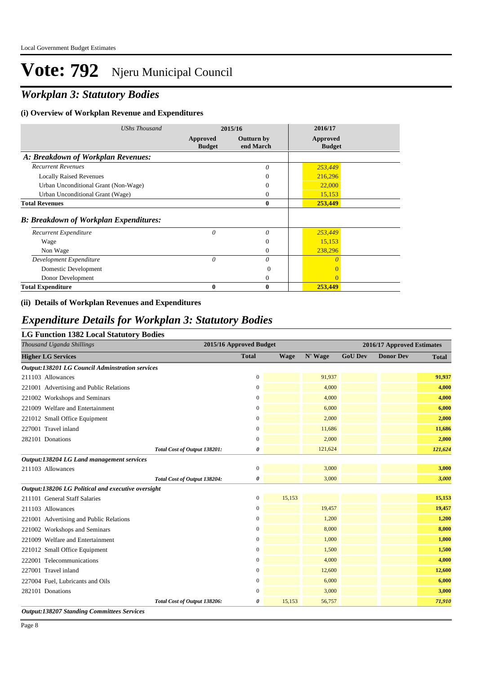## *Workplan 3: Statutory Bodies*

#### **(i) Overview of Workplan Revenue and Expenditures**

| <b>UShs Thousand</b>                          | 2015/16                   |                                | 2016/17                   |  |
|-----------------------------------------------|---------------------------|--------------------------------|---------------------------|--|
|                                               | Approved<br><b>Budget</b> | <b>Outturn by</b><br>end March | Approved<br><b>Budget</b> |  |
| A: Breakdown of Workplan Revenues:            |                           |                                |                           |  |
| <b>Recurrent Revenues</b>                     |                           | $\theta$                       | 253,449                   |  |
| <b>Locally Raised Revenues</b>                |                           | $\Omega$                       | 216,296                   |  |
| Urban Unconditional Grant (Non-Wage)          |                           | 0                              | 22,000                    |  |
| Urban Unconditional Grant (Wage)              |                           | $\overline{0}$                 | 15,153                    |  |
| <b>Total Revenues</b>                         |                           | $\bf{0}$                       | 253,449                   |  |
| <b>B: Breakdown of Workplan Expenditures:</b> |                           |                                |                           |  |
| Recurrent Expenditure                         | 0                         | 0                              | 253,449                   |  |
| Wage                                          |                           | $\mathbf{0}$                   | 15,153                    |  |
| Non Wage                                      |                           | $\Omega$                       | 238,296                   |  |
| Development Expenditure                       | $\theta$                  | 0                              | $\theta$                  |  |
| Domestic Development                          |                           | $\Omega$                       | $\Omega$                  |  |
| Donor Development                             |                           | $\Omega$                       | $\Omega$                  |  |
| <b>Total Expenditure</b>                      | 0                         | 0                              | 253,449                   |  |

#### **(ii) Details of Workplan Revenues and Expenditures**

#### *Expenditure Details for Workplan 3: Statutory Bodies*

#### **LG Function 1382 Local Statutory Bodies**

| 2015/16 Approved Budget<br>Thousand Uganda Shillings   |                  |             |         |                | 2016/17 Approved Estimates |              |
|--------------------------------------------------------|------------------|-------------|---------|----------------|----------------------------|--------------|
| <b>Higher LG Services</b>                              | <b>Total</b>     | <b>Wage</b> | N' Wage | <b>GoU Dev</b> | <b>Donor Dev</b>           | <b>Total</b> |
| <b>Output:138201 LG Council Adminstration services</b> |                  |             |         |                |                            |              |
| 211103 Allowances                                      | $\boldsymbol{0}$ |             | 91,937  |                |                            | 91,937       |
| 221001 Advertising and Public Relations                | $\overline{0}$   |             | 4,000   |                |                            | 4,000        |
| 221002 Workshops and Seminars                          | $\overline{0}$   |             | 4,000   |                |                            | 4,000        |
| 221009 Welfare and Entertainment                       | $\mathbf{0}$     |             | 6,000   |                |                            | 6,000        |
| 221012 Small Office Equipment                          | $\overline{0}$   |             | 2,000   |                |                            | 2,000        |
| 227001 Travel inland                                   | 0                |             | 11,686  |                |                            | 11,686       |
| 282101 Donations                                       | $\overline{0}$   |             | 2,000   |                |                            | 2,000        |
| Total Cost of Output 138201:                           | 0                |             | 121,624 |                |                            | 121,624      |
| Output:138204 LG Land management services              |                  |             |         |                |                            |              |
| 211103 Allowances                                      | $\boldsymbol{0}$ |             | 3,000   |                |                            | 3,000        |
| Total Cost of Output 138204:                           | 0                |             | 3,000   |                |                            | 3,000        |
| Output:138206 LG Political and executive oversight     |                  |             |         |                |                            |              |
| 211101 General Staff Salaries                          | 0                | 15,153      |         |                |                            | 15,153       |
| 211103 Allowances                                      | $\overline{0}$   |             | 19,457  |                |                            | 19,457       |
| 221001 Advertising and Public Relations                | 0                |             | 1,200   |                |                            | 1,200        |
| 221002 Workshops and Seminars                          | 0                |             | 8,000   |                |                            | 8,000        |
| 221009 Welfare and Entertainment                       | $\overline{0}$   |             | 1,000   |                |                            | 1,000        |
| 221012 Small Office Equipment                          | $\mathbf{0}$     |             | 1,500   |                |                            | 1,500        |
| 222001 Telecommunications                              | 0                |             | 4,000   |                |                            | 4,000        |
| 227001 Travel inland                                   | $\overline{0}$   |             | 12,600  |                |                            | 12,600       |
| 227004 Fuel, Lubricants and Oils                       | $\boldsymbol{0}$ |             | 6,000   |                |                            | 6,000        |
| 282101 Donations                                       | 0                |             | 3,000   |                |                            | 3,000        |
| Total Cost of Output 138206:                           | 0                | 15,153      | 56,757  |                |                            | 71,910       |

*Output:138207 Standing Committees Services*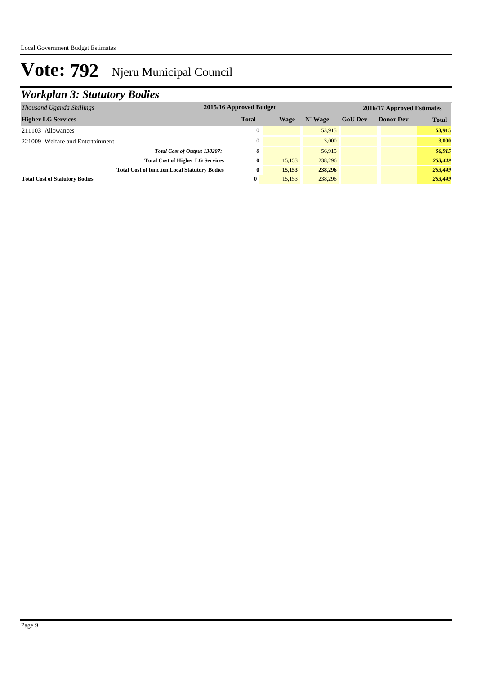## *Workplan 3: Statutory Bodies*

| Thousand Uganda Shillings                            | 2015/16 Approved Budget |        |         |                |                  | 2016/17 Approved Estimates |
|------------------------------------------------------|-------------------------|--------|---------|----------------|------------------|----------------------------|
| <b>Higher LG Services</b>                            | <b>Total</b>            | Wage   | N' Wage | <b>GoU Dev</b> | <b>Donor Dev</b> | <b>Total</b>               |
| 211103 Allowances                                    |                         |        | 53.915  |                |                  | 53,915                     |
| 221009 Welfare and Entertainment                     |                         |        | 3,000   |                |                  | 3.000                      |
| Total Cost of Output 138207:                         | 0                       |        | 56,915  |                |                  | 56,915                     |
| <b>Total Cost of Higher LG Services</b>              | 0                       | 15,153 | 238,296 |                |                  | 253,449                    |
| <b>Total Cost of function Local Statutory Bodies</b> | 0                       | 15,153 | 238,296 |                |                  | 253,449                    |
| <b>Total Cost of Statutory Bodies</b>                | $\mathbf{0}$            | 15.153 | 238,296 |                |                  | 253,449                    |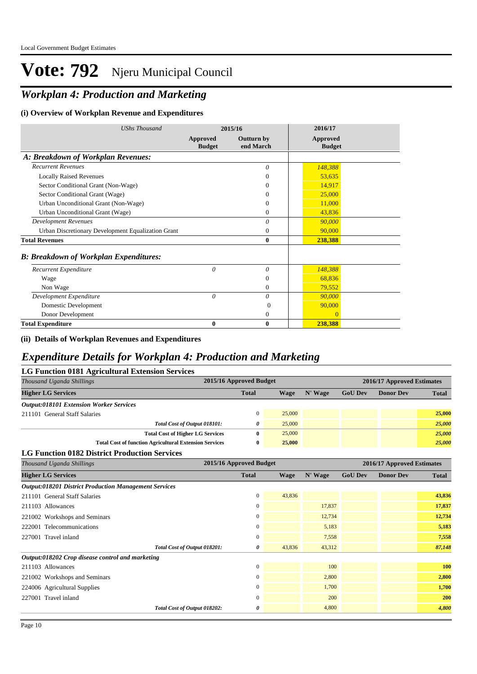## *Workplan 4: Production and Marketing*

#### **(i) Overview of Workplan Revenue and Expenditures**

| <b>UShs Thousand</b>                               |                           | 2015/16                        | 2016/17                   |
|----------------------------------------------------|---------------------------|--------------------------------|---------------------------|
|                                                    | Approved<br><b>Budget</b> | <b>Outturn by</b><br>end March | Approved<br><b>Budget</b> |
| A: Breakdown of Workplan Revenues:                 |                           |                                |                           |
| <b>Recurrent Revenues</b>                          |                           | $\theta$                       | 148,388                   |
| <b>Locally Raised Revenues</b>                     |                           | $\Omega$                       | 53,635                    |
| Sector Conditional Grant (Non-Wage)                |                           | $\Omega$                       | 14,917                    |
| Sector Conditional Grant (Wage)                    |                           | $\Omega$                       | 25,000                    |
| Urban Unconditional Grant (Non-Wage)               |                           | $\Omega$                       | 11,000                    |
| Urban Unconditional Grant (Wage)                   |                           | $\overline{0}$                 | 43,836                    |
| <b>Development Revenues</b>                        |                           | $\theta$                       | 90,000                    |
| Urban Discretionary Development Equalization Grant |                           | $\mathbf{0}$                   | 90,000                    |
| <b>Total Revenues</b>                              |                           | $\mathbf{0}$                   | 238,388                   |
| <b>B: Breakdown of Workplan Expenditures:</b>      |                           |                                |                           |
| Recurrent Expenditure                              | $\theta$                  | $\theta$                       | 148,388                   |
| Wage                                               |                           | $\theta$                       | 68,836                    |
| Non Wage                                           |                           | $\theta$                       | 79,552                    |
| Development Expenditure                            | $\theta$                  | 0                              | 90,000                    |
| Domestic Development                               |                           | $\Omega$                       | 90,000                    |
| Donor Development                                  |                           | $\mathbf{0}$                   | $\Omega$                  |
| <b>Total Expenditure</b>                           | 0                         | $\bf{0}$                       | 238,388                   |

#### **(ii) Details of Workplan Revenues and Expenditures**

### *Expenditure Details for Workplan 4: Production and Marketing*

| LG Function 0181 Agricultural Extension Services              |                                                       |        |         |                |                  |              |  |  |  |  |
|---------------------------------------------------------------|-------------------------------------------------------|--------|---------|----------------|------------------|--------------|--|--|--|--|
| Thousand Uganda Shillings                                     | 2015/16 Approved Budget<br>2016/17 Approved Estimates |        |         |                |                  |              |  |  |  |  |
| <b>Higher LG Services</b>                                     | <b>Total</b>                                          | Wage   | N' Wage | <b>GoU</b> Dev | <b>Donor Dev</b> | <b>Total</b> |  |  |  |  |
| <b>Output:018101 Extension Worker Services</b>                |                                                       |        |         |                |                  |              |  |  |  |  |
| 211101 General Staff Salaries                                 | 0                                                     | 25,000 |         |                |                  | 25,000       |  |  |  |  |
| Total Cost of Output 018101:                                  | 0                                                     | 25,000 |         |                |                  | 25,000       |  |  |  |  |
| <b>Total Cost of Higher LG Services</b>                       | 0                                                     | 25,000 |         |                |                  | 25,000       |  |  |  |  |
| <b>Total Cost of function Agricultural Extension Services</b> | 0                                                     | 25,000 |         |                |                  | 25,000       |  |  |  |  |
| <b>LG Function 0182 District Production Services</b>          |                                                       |        |         |                |                  |              |  |  |  |  |

| Thousand Uganda Shillings                                    | 2015/16 Approved Budget |             |         |                | 2016/17 Approved Estimates |            |
|--------------------------------------------------------------|-------------------------|-------------|---------|----------------|----------------------------|------------|
| <b>Higher LG Services</b>                                    | <b>Total</b>            | <b>Wage</b> | N' Wage | <b>GoU Dev</b> | <b>Donor Dev</b>           | Total      |
| <b>Output:018201 District Production Management Services</b> |                         |             |         |                |                            |            |
| 211101 General Staff Salaries                                | $\mathbf{0}$            | 43,836      |         |                |                            | 43,836     |
| 211103 Allowances                                            | $\mathbf{0}$            |             | 17,837  |                |                            | 17,837     |
| 221002 Workshops and Seminars                                | $\mathbf{0}$            |             | 12,734  |                |                            | 12,734     |
| 222001 Telecommunications                                    | $\mathbf{0}$            |             | 5,183   |                |                            | 5,183      |
| 227001 Travel inland                                         | $\mathbf{0}$            |             | 7,558   |                |                            | 7,558      |
| Total Cost of Output 018201:                                 | 0                       | 43,836      | 43,312  |                |                            | 87,148     |
| Output:018202 Crop disease control and marketing             |                         |             |         |                |                            |            |
| 211103 Allowances                                            | $\theta$                |             | 100     |                |                            | <b>100</b> |
| 221002 Workshops and Seminars                                | $\mathbf{0}$            |             | 2,800   |                |                            | 2,800      |
| 224006 Agricultural Supplies                                 | $\mathbf{0}$            |             | 1,700   |                |                            | 1,700      |
| 227001 Travel inland                                         | $\overline{0}$          |             | 200     |                |                            | 200        |
| Total Cost of Output 018202:                                 | 0                       |             | 4,800   |                |                            | 4,800      |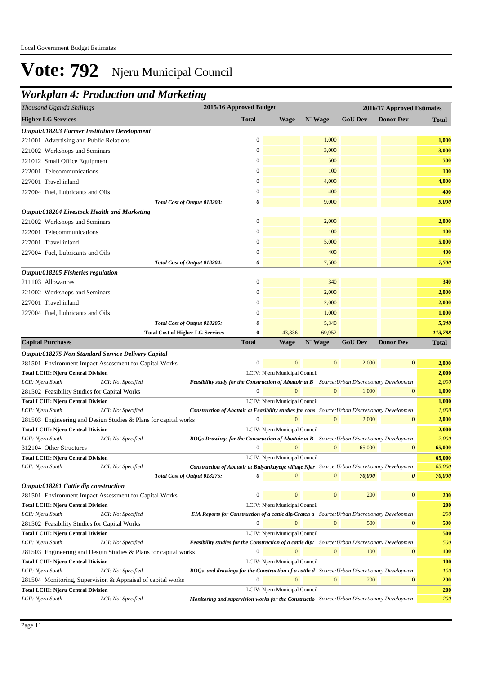## *Workplan 4: Production and Marketing*

| Thousand Uganda Shillings                                       |                                         | 2015/16 Approved Budget<br>2016/17 Approved Estimates                                                  |                  |                               |                  |                |                  |              |
|-----------------------------------------------------------------|-----------------------------------------|--------------------------------------------------------------------------------------------------------|------------------|-------------------------------|------------------|----------------|------------------|--------------|
| <b>Higher LG Services</b>                                       |                                         |                                                                                                        | <b>Total</b>     | <b>Wage</b>                   | N' Wage          | <b>GoU Dev</b> | <b>Donor Dev</b> | <b>Total</b> |
| Output:018203 Farmer Institution Development                    |                                         |                                                                                                        |                  |                               |                  |                |                  |              |
| 221001 Advertising and Public Relations                         |                                         |                                                                                                        | $\overline{0}$   |                               | 1,000            |                |                  | 1,000        |
| 221002 Workshops and Seminars                                   |                                         |                                                                                                        | $\boldsymbol{0}$ |                               | 3,000            |                |                  | 3,000        |
| 221012 Small Office Equipment                                   |                                         |                                                                                                        | $\mathbf{0}$     |                               | 500              |                |                  | 500          |
| 222001 Telecommunications                                       |                                         |                                                                                                        | $\mathbf{0}$     |                               | 100              |                |                  | 100          |
| 227001 Travel inland                                            |                                         |                                                                                                        | $\overline{0}$   |                               | 4,000            |                |                  | 4,000        |
|                                                                 |                                         |                                                                                                        |                  |                               | 400              |                |                  | 400          |
| 227004 Fuel, Lubricants and Oils                                |                                         |                                                                                                        | $\boldsymbol{0}$ |                               |                  |                |                  |              |
|                                                                 |                                         | Total Cost of Output 018203:                                                                           | 0                |                               | 9,000            |                |                  | 9,000        |
| Output:018204 Livestock Health and Marketing                    |                                         |                                                                                                        |                  |                               |                  |                |                  |              |
| 221002 Workshops and Seminars                                   |                                         |                                                                                                        | $\boldsymbol{0}$ |                               | 2,000            |                |                  | 2,000        |
| 222001 Telecommunications                                       |                                         |                                                                                                        | $\Omega$         |                               | 100              |                |                  | 100          |
| 227001 Travel inland                                            |                                         |                                                                                                        | $\boldsymbol{0}$ |                               | 5,000            |                |                  | 5,000        |
| 227004 Fuel, Lubricants and Oils                                |                                         |                                                                                                        | $\mathbf{0}$     |                               | 400              |                |                  | 400          |
|                                                                 |                                         | Total Cost of Output 018204:                                                                           | 0                |                               | 7,500            |                |                  | 7,500        |
| Output:018205 Fisheries regulation                              |                                         |                                                                                                        |                  |                               |                  |                |                  |              |
| 211103 Allowances                                               |                                         |                                                                                                        | $\mathbf{0}$     |                               | 340              |                |                  | 340          |
| 221002 Workshops and Seminars                                   |                                         |                                                                                                        | $\mathbf{0}$     |                               | 2,000            |                |                  | 2,000        |
| 227001 Travel inland                                            |                                         |                                                                                                        | $\boldsymbol{0}$ |                               | 2,000            |                |                  | 2,000        |
| 227004 Fuel, Lubricants and Oils                                |                                         |                                                                                                        | $\mathbf{0}$     |                               | 1,000            |                |                  | 1,000        |
|                                                                 |                                         | Total Cost of Output 018205:                                                                           | 0                |                               | 5,340            |                |                  | 5,340        |
|                                                                 | <b>Total Cost of Higher LG Services</b> |                                                                                                        | $\bf{0}$         | 43,836                        | 69,952           |                |                  | 113,788      |
| <b>Capital Purchases</b>                                        |                                         |                                                                                                        | <b>Total</b>     | <b>Wage</b>                   | N' Wage          | <b>GoU Dev</b> | <b>Donor Dev</b> | <b>Total</b> |
| Output:018275 Non Standard Service Delivery Capital             |                                         |                                                                                                        |                  |                               |                  |                |                  |              |
| 281501 Environment Impact Assessment for Capital Works          |                                         |                                                                                                        | $\boldsymbol{0}$ | $\mathbf{0}$                  | $\mathbf{0}$     | 2,000          | $\mathbf{0}$     | 2,000        |
| <b>Total LCIII: Njeru Central Division</b>                      |                                         |                                                                                                        |                  | LCIV: Njeru Municipal Council |                  |                |                  | 2,000        |
| LCII: Njeru South                                               | LCI: Not Specified                      | <b>Feasibility study for the Construction of Abattoir at B</b> Source: Urban Discretionary Developmen  |                  |                               |                  |                |                  | 2,000        |
| 281502 Feasibility Studies for Capital Works                    |                                         |                                                                                                        | $\theta$         |                               | $\mathbf{0}$     | 1,000          | $\bf{0}$         | 1,000        |
| <b>Total LCIII: Njeru Central Division</b>                      |                                         |                                                                                                        |                  | LCIV: Njeru Municipal Council |                  |                |                  | 1,000        |
| LCII: Njeru South                                               | LCI: Not Specified                      | <b>Construction of Abattoir at Feasibility studies for cons</b> Source: Urban Discretionary Developmen |                  |                               |                  |                |                  | 1,000        |
| 281503 Engineering and Design Studies & Plans for capital works |                                         |                                                                                                        | $\mathbf{0}$     | $\Omega$                      | $\mathbf{0}$     | 2,000          | $\boldsymbol{0}$ | 2,000        |
| <b>Total LCIII: Njeru Central Division</b>                      |                                         |                                                                                                        |                  | LCIV: Njeru Municipal Council |                  |                |                  | 2,000        |
| LCII: Njeru South                                               | LCI: Not Specified                      | <b>BOQs Drawings for the Construction of Abattoir at B</b> Source: Urban Discretionary Developmen      |                  |                               |                  |                |                  | 2,000        |
| 312104 Other Structures                                         |                                         |                                                                                                        | $\mathbf{0}$     | $\overline{0}$                | $\boldsymbol{0}$ | 65,000         | $\boldsymbol{0}$ | 65,000       |
| Total LCIII: Njeru Central Division                             |                                         |                                                                                                        |                  | LCIV: Njeru Municipal Council |                  |                |                  | 65,000       |
| LCII: Njeru South                                               | LCI: Not Specified                      | Construction of Abattoir at Bulyankuyege village Njer Source: Urban Discretionary Developmen           |                  |                               |                  |                |                  | 65,000       |
|                                                                 |                                         | Total Cost of Output 018275:                                                                           | 0                | $\overline{0}$                | $\mathbf{0}$     | 70,000         | 0                | 70,000       |
| Output:018281 Cattle dip construction                           |                                         |                                                                                                        |                  |                               |                  |                |                  |              |
| 281501 Environment Impact Assessment for Capital Works          |                                         |                                                                                                        | $\boldsymbol{0}$ | $\mathbf{0}$                  | $\boldsymbol{0}$ | 200            | $\boldsymbol{0}$ | 200          |
| <b>Total LCIII: Njeru Central Division</b>                      |                                         |                                                                                                        |                  | LCIV: Njeru Municipal Council |                  |                |                  | 200          |
| LCII: Njeru South                                               | LCI: Not Specified                      | <b>EIA Reports for Construction of a cattle dip/Cratch a</b> Source: Urban Discretionary Developmen    |                  |                               |                  |                |                  | 200          |
| 281502 Feasibility Studies for Capital Works                    |                                         |                                                                                                        | $\mathbf{0}$     |                               | $\bf{0}$         | 500            | $\boldsymbol{0}$ | 500          |
| <b>Total LCIII: Njeru Central Division</b>                      |                                         |                                                                                                        |                  | LCIV: Njeru Municipal Council |                  |                |                  | 500          |
| LCII: Njeru South                                               | LCI: Not Specified                      | Feasibility studies for the Construction of a cattle dip/ Source: Urban Discretionary Developmen       |                  |                               |                  |                |                  | 500          |
| 281503 Engineering and Design Studies & Plans for capital works |                                         |                                                                                                        | $\boldsymbol{0}$ | $\Omega$                      | $\bf{0}$         | 100            | $\boldsymbol{0}$ | <b>100</b>   |
| <b>Total LCIII: Njeru Central Division</b>                      |                                         |                                                                                                        |                  | LCIV: Njeru Municipal Council |                  |                |                  | <b>100</b>   |
| LCII: Njeru South                                               | LCI: Not Specified                      | <b>BOQs</b> and drawings for the Construction of a cattle d Source: Urban Discretionary Developmen     |                  |                               |                  |                |                  | 100          |
| 281504 Monitoring, Supervision & Appraisal of capital works     |                                         |                                                                                                        | $\mathbf{0}$     |                               | $\overline{0}$   | 200            | $\boldsymbol{0}$ | <b>200</b>   |
| <b>Total LCIII: Njeru Central Division</b>                      |                                         |                                                                                                        |                  | LCIV: Njeru Municipal Council |                  |                |                  | 200          |
| LCII: Njeru South                                               | LCI: Not Specified                      | Monitoring and supervision works for the Constructio Source: Urban Discretionary Developmen            |                  |                               |                  |                |                  | 200          |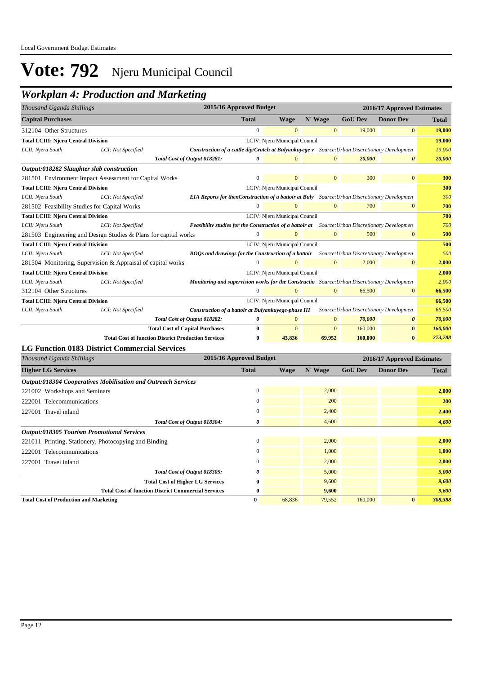## *Workplan 4: Production and Marketing*

| Thousand Uganda Shillings                                                   |                                                             |                                                                                                        | 2015/16 Approved Budget |                               | 2016/17 Approved Estimates |                                        |                       |              |
|-----------------------------------------------------------------------------|-------------------------------------------------------------|--------------------------------------------------------------------------------------------------------|-------------------------|-------------------------------|----------------------------|----------------------------------------|-----------------------|--------------|
| <b>Capital Purchases</b>                                                    |                                                             |                                                                                                        | <b>Total</b>            | <b>Wage</b>                   | N' Wage                    | <b>GoU Dev</b>                         | <b>Donor Dev</b>      | <b>Total</b> |
| 312104 Other Structures                                                     |                                                             |                                                                                                        | $\overline{0}$          | $\mathbf{0}$                  | $\mathbf{0}$               | 19,000                                 | $\mathbf{0}$          | 19,000       |
| <b>Total LCIII: Njeru Central Division</b>                                  |                                                             |                                                                                                        |                         | LCIV: Njeru Municipal Council |                            |                                        |                       | 19,000       |
| LCII: Njeru South                                                           | LCI: Not Specified                                          | <b>Construction of a cattle dip/Cratch at Bulyankuyege v</b> Source: Urban Discretionary Developmen    |                         |                               |                            |                                        |                       | 19,000       |
|                                                                             |                                                             | Total Cost of Output 018281:                                                                           | 0                       | $\Omega$                      | $\mathbf{0}$               | 20,000                                 | $\boldsymbol{\theta}$ | 20,000       |
| Output:018282 Slaughter slab construction                                   |                                                             |                                                                                                        |                         |                               |                            |                                        |                       |              |
|                                                                             | 281501 Environment Impact Assessment for Capital Works      |                                                                                                        | $\overline{0}$          | $\overline{0}$                | $\mathbf{0}$               | 300                                    | $\overline{0}$        | 300          |
| <b>Total LCIII: Njeru Central Division</b>                                  |                                                             |                                                                                                        |                         | LCIV: Njeru Municipal Council |                            |                                        |                       | 300          |
| LCII: Njeru South                                                           | LCI: Not Specified                                          | <b>EIA Reports for thenConstruction of a battoir at Buly</b> Source: Urban Discretionary Developmen    |                         |                               |                            |                                        |                       | 300          |
| 281502 Feasibility Studies for Capital Works                                |                                                             |                                                                                                        | $\Omega$                |                               | $\mathbf{0}$               | 700                                    | 0                     | 700          |
| <b>Total LCIII: Njeru Central Division</b>                                  |                                                             |                                                                                                        |                         | LCIV: Njeru Municipal Council |                            |                                        |                       | 700          |
| LCII: Njeru South                                                           | LCI: Not Specified                                          | <b>Feasibility studies for the Construction of a battoir at</b> Source: Urban Discretionary Developmen |                         |                               |                            |                                        |                       | 700          |
| $\Omega$<br>281503 Engineering and Design Studies & Plans for capital works |                                                             |                                                                                                        | $\mathbf{0}$            | $\mathbf{0}$                  | 500                        | 0                                      | 500                   |              |
| <b>Total LCIII: Njeru Central Division</b>                                  |                                                             |                                                                                                        |                         | LCIV: Njeru Municipal Council |                            |                                        |                       | 500          |
| LCII: Njeru South                                                           | LCI: Not Specified                                          | BOQs and drawings for the Construction of a battoir                                                    |                         |                               |                            | Source: Urban Discretionary Developmen |                       | 500          |
|                                                                             | 281504 Monitoring, Supervision & Appraisal of capital works |                                                                                                        | $\overline{0}$          | $\mathbf{0}$                  | $\mathbf{0}$               | 2,000                                  | $\mathbf{0}$          | 2,000        |
| <b>Total LCIII: Njeru Central Division</b>                                  |                                                             |                                                                                                        |                         | LCIV: Njeru Municipal Council |                            |                                        |                       | 2,000        |
| LCII: Njeru South                                                           | LCI: Not Specified                                          | Monitoring and supervision works for the Constructio Source: Urban Discretionary Developmen            |                         |                               |                            |                                        |                       | 2,000        |
| 312104 Other Structures                                                     |                                                             |                                                                                                        | $\Omega$                | $\Omega$                      | $\mathbf{0}$               | 66,500                                 | $\mathbf{0}$          | 66,500       |
| <b>Total LCIII: Njeru Central Division</b>                                  |                                                             |                                                                                                        |                         | LCIV: Njeru Municipal Council |                            |                                        |                       | 66,500       |
| LCII: Njeru South                                                           | LCI: Not Specified                                          | Construction of a battoir at Bulyankuyege-phase III                                                    |                         |                               |                            | Source: Urban Discretionary Developmen |                       | 66,500       |
|                                                                             |                                                             | Total Cost of Output 018282:                                                                           | 0                       | $\Omega$                      | $\mathbf{0}$               | 70,000                                 | $\boldsymbol{\theta}$ | 70,000       |
|                                                                             |                                                             | <b>Total Cost of Capital Purchases</b>                                                                 | $\bf{0}$                | $\mathbf{0}$                  | $\overline{0}$             | 160,000                                | $\mathbf{0}$          | 160,000      |
|                                                                             | <b>Total Cost of function District Production Services</b>  |                                                                                                        | 0                       | 43,836                        | 69,952                     | 160,000                                | $\bf{0}$              | 273,788      |
|                                                                             | <b>LG Function 0183 District Commercial Services</b>        |                                                                                                        |                         |                               |                            |                                        |                       |              |

| Thousand Uganda Shillings                                     | 2015/16 Approved Budget | 2016/17 Approved Estimates |         |                |                  |            |
|---------------------------------------------------------------|-------------------------|----------------------------|---------|----------------|------------------|------------|
| <b>Higher LG Services</b>                                     | <b>Total</b>            | Wage                       | N' Wage | <b>GoU Dev</b> | <b>Donor Dev</b> | Total      |
| Output:018304 Cooperatives Mobilisation and Outreach Services |                         |                            |         |                |                  |            |
| 221002 Workshops and Seminars                                 | $\mathbf{0}$            |                            | 2,000   |                |                  | 2,000      |
| 222001 Telecommunications                                     | $\mathbf{0}$            |                            | 200     |                |                  | <b>200</b> |
| 227001 Travel inland                                          | $\mathbf{0}$            |                            | 2,400   |                |                  | 2,400      |
| Total Cost of Output 018304:                                  | 0                       |                            | 4,600   |                |                  | 4,600      |
| <b>Output:018305 Tourism Promotional Services</b>             |                         |                            |         |                |                  |            |
| 221011 Printing, Stationery, Photocopying and Binding         | $\mathbf{0}$            |                            | 2,000   |                |                  | 2,000      |
| 222001 Telecommunications                                     | $\Omega$                |                            | 1,000   |                |                  | 1,000      |
| 227001 Travel inland                                          | $\mathbf{0}$            |                            | 2,000   |                |                  | 2,000      |
| Total Cost of Output 018305:                                  | 0                       |                            | 5,000   |                |                  | 5,000      |
| <b>Total Cost of Higher LG Services</b>                       | $\bf{0}$                |                            | 9,600   |                |                  | 9,600      |
| <b>Total Cost of function District Commercial Services</b>    | $\mathbf{0}$            |                            | 9,600   |                |                  | 9,600      |
| <b>Total Cost of Production and Marketing</b>                 | 0                       | 68,836                     | 79,552  | 160,000        | $\mathbf{0}$     | 308,388    |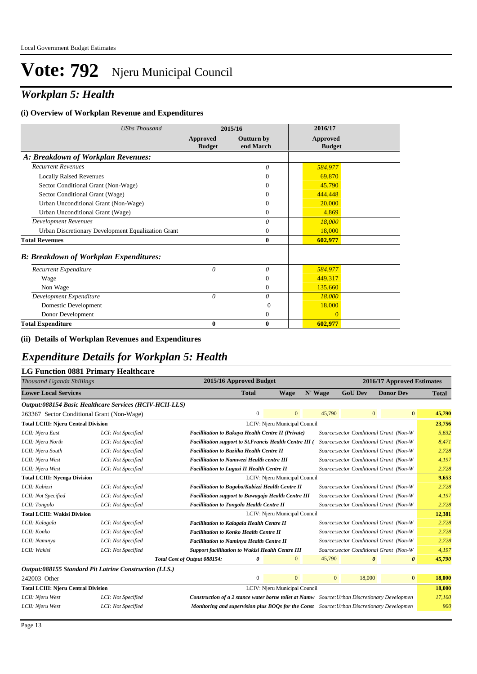## *Workplan 5: Health*

#### **(i) Overview of Workplan Revenue and Expenditures**

| <b>UShs Thousand</b>                               |                           | 2015/16                        | 2016/17                   |
|----------------------------------------------------|---------------------------|--------------------------------|---------------------------|
|                                                    | Approved<br><b>Budget</b> | <b>Outturn by</b><br>end March | Approved<br><b>Budget</b> |
| A: Breakdown of Workplan Revenues:                 |                           |                                |                           |
| <b>Recurrent Revenues</b>                          |                           | $\theta$                       | 584,977                   |
| <b>Locally Raised Revenues</b>                     |                           | $\Omega$                       | 69,870                    |
| Sector Conditional Grant (Non-Wage)                |                           | 0                              | 45,790                    |
| Sector Conditional Grant (Wage)                    |                           | 0                              | 444,448                   |
| Urban Unconditional Grant (Non-Wage)               |                           | $\Omega$                       | 20,000                    |
| Urban Unconditional Grant (Wage)                   |                           | $\Omega$                       | 4,869                     |
| <b>Development Revenues</b>                        |                           | $\theta$                       | 18,000                    |
| Urban Discretionary Development Equalization Grant |                           | $\mathbf{0}$                   | 18,000                    |
| <b>Total Revenues</b>                              |                           | $\mathbf{0}$                   | 602,977                   |
| <b>B: Breakdown of Workplan Expenditures:</b>      |                           |                                |                           |
| Recurrent Expenditure                              | $\theta$                  | 0                              | 584,977                   |
| Wage                                               |                           | $\Omega$                       | 449,317                   |
| Non Wage                                           |                           | 0                              | 135,660                   |
| Development Expenditure                            | 0                         | 0                              | 18,000                    |
| Domestic Development                               |                           | $\Omega$                       | 18,000                    |
| Donor Development                                  |                           | 0                              | $\overline{0}$            |
| <b>Total Expenditure</b>                           | 0                         | $\bf{0}$                       | 602,977                   |

#### **(ii) Details of Workplan Revenues and Expenditures**

### *Expenditure Details for Workplan 5: Health*

#### **LG Function 0881 Primary Healthcare**

| Thousand Uganda Shillings                  |                                                         |                                                                                                     | 2015/16 Approved Budget                                                                               |                               |              |                | 2016/17 Approved Estimates                     |              |
|--------------------------------------------|---------------------------------------------------------|-----------------------------------------------------------------------------------------------------|-------------------------------------------------------------------------------------------------------|-------------------------------|--------------|----------------|------------------------------------------------|--------------|
| <b>Lower Local Services</b>                |                                                         |                                                                                                     | <b>Total</b>                                                                                          | Wage                          | N' Wage      | <b>GoU Dev</b> | <b>Donor Dev</b>                               | <b>Total</b> |
|                                            | Output:088154 Basic Healthcare Services (HCIV-HCII-LLS) |                                                                                                     |                                                                                                       |                               |              |                |                                                |              |
| 263367 Sector Conditional Grant (Non-Wage) |                                                         |                                                                                                     | $\Omega$                                                                                              | $\overline{0}$                | 45,790       |                | $\overline{0}$<br>$\overline{0}$               | 45,790       |
| <b>Total LCIII: Njeru Central Division</b> |                                                         |                                                                                                     |                                                                                                       | LCIV: Njeru Municipal Council |              |                |                                                | 23,756       |
| LCII: Njeru East                           | LCI: Not Specified                                      | Facillitation to Bukaya Health Centre II (Private)                                                  |                                                                                                       |                               |              |                | Source: sector Conditional Grant (Non-W        | 5,632        |
| LCII: Njeru North                          | LCI: Not Specified                                      | <b>Facillitation support to St. Francis Health Centre III (</b>                                     |                                                                                                       |                               |              |                | Source:sector Conditional Grant (Non-W         | 8,471        |
| LCII: Njeru South                          | LCI: Not Specified                                      | <b>Facillitation to Buziika Health Centre II</b>                                                    |                                                                                                       |                               |              |                | Source:sector Conditional Grant (Non-W         | 2,728        |
| LCII: Njeru West                           | LCI: Not Specified                                      | <b>Facillitation to Namwezi Health centre III</b>                                                   |                                                                                                       |                               |              |                | Source:sector Conditional Grant (Non-W         | 4,197        |
| LCII: Njeru West                           | LCI: Not Specified                                      | <b>Facillitation to Lugazi II Health Centre II</b>                                                  |                                                                                                       |                               |              |                | Source:sector Conditional Grant (Non-W         | 2,728        |
| <b>Total LCIII: Nyenga Division</b>        |                                                         |                                                                                                     |                                                                                                       | LCIV: Njeru Municipal Council |              |                |                                                | 9,653        |
| LCII: Kabizzi                              | LCI: Not Specified                                      | Facillitation to Bugoba/Kabizzi Health Centre II                                                    |                                                                                                       |                               |              |                | Source: sector Conditional Grant (Non-W        | 2,728        |
| LCII: Not Specified                        | LCI: Not Specified                                      |                                                                                                     | Source: sector Conditional Grant (Non-W<br><b>Facillitation support to Buwagajo Health Centre III</b> |                               |              |                |                                                |              |
| LCII: Tongolo                              | LCI: Not Specified                                      | <b>Facillitation to Tongolo Health Centre II</b>                                                    |                                                                                                       |                               |              |                | Source:sector Conditional Grant (Non-W         | 2,728        |
| <b>Total LCIII: Wakisi Division</b>        |                                                         |                                                                                                     |                                                                                                       | LCIV: Njeru Municipal Council |              |                |                                                | 12,381       |
| LCII: Kalagala                             | LCI: Not Specified                                      | <b>Facillitation to Kalagala Health Centre II</b>                                                   |                                                                                                       |                               |              |                | Source:sector Conditional Grant (Non-W         | 2,728        |
| LCII: Konko                                | LCI: Not Specified                                      | <b>Facillitation to Konko Health Centre II</b>                                                      |                                                                                                       |                               |              |                | Source:sector Conditional Grant (Non-W         | 2,728        |
| LCII: Naminya                              | LCI: Not Specified                                      | <b>Facillitation to Naminya Health Centre II</b>                                                    |                                                                                                       |                               |              |                | Source:sector Conditional Grant (Non-W         | 2,728        |
| LCII: Wakisi                               | LCI: Not Specified                                      | <b>Support facillitation to Wakisi Health Centre III</b>                                            |                                                                                                       |                               |              |                | Source:sector Conditional Grant (Non-W         | 4,197        |
|                                            |                                                         | Total Cost of Output 088154:                                                                        | 0                                                                                                     | $\mathbf{0}$                  | 45,790       |                | $\boldsymbol{\theta}$<br>$\boldsymbol{\theta}$ | 45,790       |
|                                            | Output:088155 Standard Pit Latrine Construction (LLS.)  |                                                                                                     |                                                                                                       |                               |              |                |                                                |              |
| 242003 Other                               |                                                         |                                                                                                     | $\mathbf{0}$                                                                                          | $\mathbf{0}$                  | $\mathbf{0}$ | 18,000         | $\vert 0 \vert$                                | 18,000       |
| <b>Total LCIII: Njeru Central Division</b> |                                                         |                                                                                                     |                                                                                                       | LCIV: Njeru Municipal Council |              |                |                                                | 18,000       |
| LCII: Njeru West                           | LCI: Not Specified                                      | <b>Construction of a 2 stance water borne toilet at Namw</b> Source: Urban Discretionary Developmen |                                                                                                       |                               |              |                |                                                | 17,100       |
| LCII: Njeru West                           | LCI: Not Specified                                      | Monitoring and supervision plus BOQs for the Const Source: Urban Discretionary Developmen           |                                                                                                       |                               |              |                |                                                | 900          |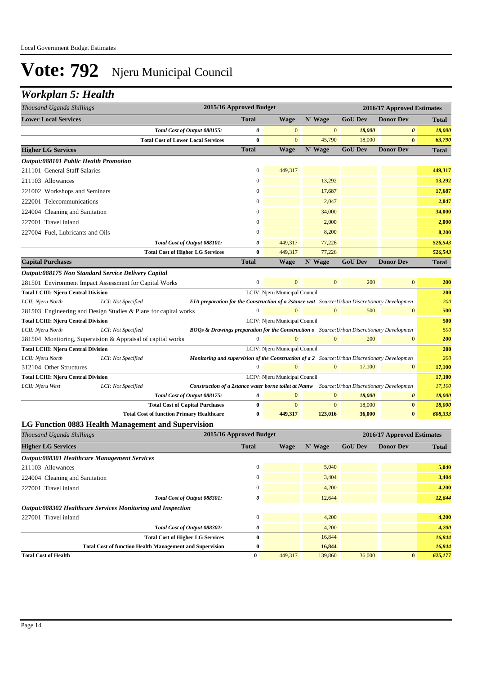### *Workplan 5: Health*

| Thousand Uganda Shillings                                                                                                                                                                                                                                                                                                                                                                                                                                                                                                                                                                                                                                                                                                                                                                                                                                                                                                                                                                                                                                                                                                                                                                                                                                                                                                                                                                                                                                                                                                                                                                                                                                                                                                                                                                                      |                    |                                           | 2015/16 Approved Budget |                               |                  |                | 2016/17 Approved Estimates                                                                                                              |              |
|----------------------------------------------------------------------------------------------------------------------------------------------------------------------------------------------------------------------------------------------------------------------------------------------------------------------------------------------------------------------------------------------------------------------------------------------------------------------------------------------------------------------------------------------------------------------------------------------------------------------------------------------------------------------------------------------------------------------------------------------------------------------------------------------------------------------------------------------------------------------------------------------------------------------------------------------------------------------------------------------------------------------------------------------------------------------------------------------------------------------------------------------------------------------------------------------------------------------------------------------------------------------------------------------------------------------------------------------------------------------------------------------------------------------------------------------------------------------------------------------------------------------------------------------------------------------------------------------------------------------------------------------------------------------------------------------------------------------------------------------------------------------------------------------------------------|--------------------|-------------------------------------------|-------------------------|-------------------------------|------------------|----------------|-----------------------------------------------------------------------------------------------------------------------------------------|--------------|
| <b>Lower Local Services</b>                                                                                                                                                                                                                                                                                                                                                                                                                                                                                                                                                                                                                                                                                                                                                                                                                                                                                                                                                                                                                                                                                                                                                                                                                                                                                                                                                                                                                                                                                                                                                                                                                                                                                                                                                                                    |                    |                                           | <b>Total</b>            | <b>Wage</b>                   | N' Wage          | <b>GoU</b> Dev | <b>Donor Dev</b>                                                                                                                        | <b>Total</b> |
|                                                                                                                                                                                                                                                                                                                                                                                                                                                                                                                                                                                                                                                                                                                                                                                                                                                                                                                                                                                                                                                                                                                                                                                                                                                                                                                                                                                                                                                                                                                                                                                                                                                                                                                                                                                                                |                    | Total Cost of Output 088155:              | 0                       | $\mathbf{0}$                  | $\mathbf{0}$     | 18,000         | 0                                                                                                                                       | 18,000       |
|                                                                                                                                                                                                                                                                                                                                                                                                                                                                                                                                                                                                                                                                                                                                                                                                                                                                                                                                                                                                                                                                                                                                                                                                                                                                                                                                                                                                                                                                                                                                                                                                                                                                                                                                                                                                                |                    | <b>Total Cost of Lower Local Services</b> | 0                       | $\mathbf{0}$                  | 45,790           | 18,000         | $\bf{0}$                                                                                                                                | 63,790       |
| <b>Higher LG Services</b>                                                                                                                                                                                                                                                                                                                                                                                                                                                                                                                                                                                                                                                                                                                                                                                                                                                                                                                                                                                                                                                                                                                                                                                                                                                                                                                                                                                                                                                                                                                                                                                                                                                                                                                                                                                      |                    |                                           | <b>Total</b>            | <b>Wage</b>                   | N' Wage          | <b>GoU Dev</b> | <b>Donor Dev</b>                                                                                                                        | <b>Total</b> |
| <b>Output:088101 Public Health Promotion</b>                                                                                                                                                                                                                                                                                                                                                                                                                                                                                                                                                                                                                                                                                                                                                                                                                                                                                                                                                                                                                                                                                                                                                                                                                                                                                                                                                                                                                                                                                                                                                                                                                                                                                                                                                                   |                    |                                           |                         |                               |                  |                |                                                                                                                                         |              |
|                                                                                                                                                                                                                                                                                                                                                                                                                                                                                                                                                                                                                                                                                                                                                                                                                                                                                                                                                                                                                                                                                                                                                                                                                                                                                                                                                                                                                                                                                                                                                                                                                                                                                                                                                                                                                |                    |                                           | 0                       | 449,317                       |                  |                |                                                                                                                                         | 449,317      |
| 211103 Allowances                                                                                                                                                                                                                                                                                                                                                                                                                                                                                                                                                                                                                                                                                                                                                                                                                                                                                                                                                                                                                                                                                                                                                                                                                                                                                                                                                                                                                                                                                                                                                                                                                                                                                                                                                                                              |                    |                                           | $\boldsymbol{0}$        |                               | 13,292           |                |                                                                                                                                         | 13,292       |
|                                                                                                                                                                                                                                                                                                                                                                                                                                                                                                                                                                                                                                                                                                                                                                                                                                                                                                                                                                                                                                                                                                                                                                                                                                                                                                                                                                                                                                                                                                                                                                                                                                                                                                                                                                                                                |                    |                                           | 0                       |                               | 17,687           |                |                                                                                                                                         | 17,687       |
|                                                                                                                                                                                                                                                                                                                                                                                                                                                                                                                                                                                                                                                                                                                                                                                                                                                                                                                                                                                                                                                                                                                                                                                                                                                                                                                                                                                                                                                                                                                                                                                                                                                                                                                                                                                                                |                    |                                           | 0                       |                               | 2,047            |                |                                                                                                                                         | 2,047        |
|                                                                                                                                                                                                                                                                                                                                                                                                                                                                                                                                                                                                                                                                                                                                                                                                                                                                                                                                                                                                                                                                                                                                                                                                                                                                                                                                                                                                                                                                                                                                                                                                                                                                                                                                                                                                                |                    |                                           | 0                       |                               | 34,000           |                |                                                                                                                                         | 34,000       |
| 227001 Travel inland                                                                                                                                                                                                                                                                                                                                                                                                                                                                                                                                                                                                                                                                                                                                                                                                                                                                                                                                                                                                                                                                                                                                                                                                                                                                                                                                                                                                                                                                                                                                                                                                                                                                                                                                                                                           |                    |                                           | 0                       |                               | 2,000            |                |                                                                                                                                         | 2,000        |
|                                                                                                                                                                                                                                                                                                                                                                                                                                                                                                                                                                                                                                                                                                                                                                                                                                                                                                                                                                                                                                                                                                                                                                                                                                                                                                                                                                                                                                                                                                                                                                                                                                                                                                                                                                                                                |                    |                                           | $\Omega$                |                               | 8,200            |                |                                                                                                                                         | 8,200        |
|                                                                                                                                                                                                                                                                                                                                                                                                                                                                                                                                                                                                                                                                                                                                                                                                                                                                                                                                                                                                                                                                                                                                                                                                                                                                                                                                                                                                                                                                                                                                                                                                                                                                                                                                                                                                                |                    |                                           | 0                       | 449,317                       | 77,226           |                |                                                                                                                                         | 526,543      |
|                                                                                                                                                                                                                                                                                                                                                                                                                                                                                                                                                                                                                                                                                                                                                                                                                                                                                                                                                                                                                                                                                                                                                                                                                                                                                                                                                                                                                                                                                                                                                                                                                                                                                                                                                                                                                |                    |                                           | 0                       | 449,317                       | 77,226           |                |                                                                                                                                         | 526,543      |
| <b>Capital Purchases</b>                                                                                                                                                                                                                                                                                                                                                                                                                                                                                                                                                                                                                                                                                                                                                                                                                                                                                                                                                                                                                                                                                                                                                                                                                                                                                                                                                                                                                                                                                                                                                                                                                                                                                                                                                                                       |                    |                                           | <b>Total</b>            | <b>Wage</b>                   | N' Wage          | <b>GoU Dev</b> | <b>Donor Dev</b>                                                                                                                        | <b>Total</b> |
|                                                                                                                                                                                                                                                                                                                                                                                                                                                                                                                                                                                                                                                                                                                                                                                                                                                                                                                                                                                                                                                                                                                                                                                                                                                                                                                                                                                                                                                                                                                                                                                                                                                                                                                                                                                                                |                    |                                           |                         |                               |                  |                |                                                                                                                                         |              |
|                                                                                                                                                                                                                                                                                                                                                                                                                                                                                                                                                                                                                                                                                                                                                                                                                                                                                                                                                                                                                                                                                                                                                                                                                                                                                                                                                                                                                                                                                                                                                                                                                                                                                                                                                                                                                |                    |                                           | $\boldsymbol{0}$        | $\overline{0}$                | $\mathbf{0}$     | 200            | $\mathbf{0}$                                                                                                                            | 200          |
|                                                                                                                                                                                                                                                                                                                                                                                                                                                                                                                                                                                                                                                                                                                                                                                                                                                                                                                                                                                                                                                                                                                                                                                                                                                                                                                                                                                                                                                                                                                                                                                                                                                                                                                                                                                                                |                    |                                           |                         | LCIV: Njeru Municipal Council |                  |                |                                                                                                                                         | 200          |
| LCII: Njeru North                                                                                                                                                                                                                                                                                                                                                                                                                                                                                                                                                                                                                                                                                                                                                                                                                                                                                                                                                                                                                                                                                                                                                                                                                                                                                                                                                                                                                                                                                                                                                                                                                                                                                                                                                                                              | LCI: Not Specified |                                           |                         |                               |                  |                |                                                                                                                                         | 200          |
|                                                                                                                                                                                                                                                                                                                                                                                                                                                                                                                                                                                                                                                                                                                                                                                                                                                                                                                                                                                                                                                                                                                                                                                                                                                                                                                                                                                                                                                                                                                                                                                                                                                                                                                                                                                                                |                    |                                           | $\overline{0}$          | $\Omega$                      | $\boldsymbol{0}$ | 500            | $\boldsymbol{0}$                                                                                                                        | 500          |
| <b>Total LCIII: Njeru Central Division</b>                                                                                                                                                                                                                                                                                                                                                                                                                                                                                                                                                                                                                                                                                                                                                                                                                                                                                                                                                                                                                                                                                                                                                                                                                                                                                                                                                                                                                                                                                                                                                                                                                                                                                                                                                                     |                    |                                           |                         | LCIV: Njeru Municipal Council |                  |                |                                                                                                                                         | 500          |
| LCII: Njeru North                                                                                                                                                                                                                                                                                                                                                                                                                                                                                                                                                                                                                                                                                                                                                                                                                                                                                                                                                                                                                                                                                                                                                                                                                                                                                                                                                                                                                                                                                                                                                                                                                                                                                                                                                                                              | LCI: Not Specified |                                           |                         |                               |                  |                |                                                                                                                                         | 500          |
|                                                                                                                                                                                                                                                                                                                                                                                                                                                                                                                                                                                                                                                                                                                                                                                                                                                                                                                                                                                                                                                                                                                                                                                                                                                                                                                                                                                                                                                                                                                                                                                                                                                                                                                                                                                                                |                    |                                           | $\overline{0}$          | $\Omega$                      | $\mathbf{0}$     | 200            | $\boldsymbol{0}$                                                                                                                        | 200          |
|                                                                                                                                                                                                                                                                                                                                                                                                                                                                                                                                                                                                                                                                                                                                                                                                                                                                                                                                                                                                                                                                                                                                                                                                                                                                                                                                                                                                                                                                                                                                                                                                                                                                                                                                                                                                                |                    |                                           |                         | LCIV: Njeru Municipal Council |                  |                |                                                                                                                                         | 200          |
| LCII: Njeru North                                                                                                                                                                                                                                                                                                                                                                                                                                                                                                                                                                                                                                                                                                                                                                                                                                                                                                                                                                                                                                                                                                                                                                                                                                                                                                                                                                                                                                                                                                                                                                                                                                                                                                                                                                                              |                    |                                           |                         |                               |                  |                |                                                                                                                                         | 200          |
|                                                                                                                                                                                                                                                                                                                                                                                                                                                                                                                                                                                                                                                                                                                                                                                                                                                                                                                                                                                                                                                                                                                                                                                                                                                                                                                                                                                                                                                                                                                                                                                                                                                                                                                                                                                                                |                    |                                           |                         | $\overline{0}$                | $\mathbf{0}$     |                |                                                                                                                                         | 17,100       |
|                                                                                                                                                                                                                                                                                                                                                                                                                                                                                                                                                                                                                                                                                                                                                                                                                                                                                                                                                                                                                                                                                                                                                                                                                                                                                                                                                                                                                                                                                                                                                                                                                                                                                                                                                                                                                |                    |                                           |                         | LCIV: Njeru Municipal Council |                  |                |                                                                                                                                         | 17,100       |
|                                                                                                                                                                                                                                                                                                                                                                                                                                                                                                                                                                                                                                                                                                                                                                                                                                                                                                                                                                                                                                                                                                                                                                                                                                                                                                                                                                                                                                                                                                                                                                                                                                                                                                                                                                                                                |                    |                                           |                         | $\mathbf{0}$                  |                  |                | 17,100<br>$\boldsymbol{0}$<br>18,000<br>0<br>18,000<br>$\bf{0}$<br>36,000<br>$\bf{0}$<br>2016/17 Approved Estimates<br><b>Donor Dev</b> | 17,100       |
| 211101 General Staff Salaries<br>221002 Workshops and Seminars<br>222001 Telecommunications<br>224004 Cleaning and Sanitation<br>227004 Fuel, Lubricants and Oils<br>Total Cost of Output 088101:<br><b>Total Cost of Higher LG Services</b><br>Output:088175 Non Standard Service Delivery Capital<br>281501 Environment Impact Assessment for Capital Works<br><b>Total LCIII: Njeru Central Division</b><br>EIA preparation for the Construction of a 2stance wat Source: Urban Discretionary Developmen<br>281503 Engineering and Design Studies & Plans for capital works<br><b>BOQs &amp; Drawings preparation for the Construction o</b> Source: Urban Discretionary Developmen<br>281504 Monitoring, Supervision & Appraisal of capital works<br><b>Total LCIII: Njeru Central Division</b><br>LCI: Not Specified<br><b>Monitoring and supervision of the Construction of a 2</b> Source: Urban Discretionary Developmen<br>$\overline{0}$<br>312104 Other Structures<br><b>Total LCIII: Njeru Central Division</b><br>LCII: Njeru West<br>LCI: Not Specified<br><b>Construction of a 2stance water borne toilet at Namw</b> Source: Urban Discretionary Developmen<br>0<br>Total Cost of Output 088175:<br><b>Total Cost of Capital Purchases</b><br>0<br><b>Total Cost of function Primary Healthcare</b><br>0<br>LG Function 0883 Health Management and Supervision<br>2015/16 Approved Budget<br>Thousand Uganda Shillings<br><b>Higher LG Services</b><br><b>Total</b><br><i><b>Output:088301 Healthcare Management Services</b></i><br>$\boldsymbol{0}$<br>211103 Allowances<br>224004 Cleaning and Sanitation<br>$\boldsymbol{0}$<br>227001 Travel inland<br>0<br>Total Cost of Output 088301:<br>0<br>Output:088302 Healthcare Services Monitoring and Inspection<br>0<br>227001 Travel inland | $\mathbf{0}$       | $\mathbf{0}$<br>$\mathbf{0}$              |                         |                               | 18,000<br>18,000 |                |                                                                                                                                         |              |
|                                                                                                                                                                                                                                                                                                                                                                                                                                                                                                                                                                                                                                                                                                                                                                                                                                                                                                                                                                                                                                                                                                                                                                                                                                                                                                                                                                                                                                                                                                                                                                                                                                                                                                                                                                                                                |                    |                                           |                         | 449,317                       | 123,016          |                |                                                                                                                                         | 608,333      |
|                                                                                                                                                                                                                                                                                                                                                                                                                                                                                                                                                                                                                                                                                                                                                                                                                                                                                                                                                                                                                                                                                                                                                                                                                                                                                                                                                                                                                                                                                                                                                                                                                                                                                                                                                                                                                |                    |                                           |                         |                               |                  |                |                                                                                                                                         |              |
|                                                                                                                                                                                                                                                                                                                                                                                                                                                                                                                                                                                                                                                                                                                                                                                                                                                                                                                                                                                                                                                                                                                                                                                                                                                                                                                                                                                                                                                                                                                                                                                                                                                                                                                                                                                                                |                    |                                           |                         |                               |                  |                |                                                                                                                                         |              |
|                                                                                                                                                                                                                                                                                                                                                                                                                                                                                                                                                                                                                                                                                                                                                                                                                                                                                                                                                                                                                                                                                                                                                                                                                                                                                                                                                                                                                                                                                                                                                                                                                                                                                                                                                                                                                |                    |                                           |                         | <b>Wage</b>                   | N' Wage          | <b>GoU Dev</b> |                                                                                                                                         | <b>Total</b> |
|                                                                                                                                                                                                                                                                                                                                                                                                                                                                                                                                                                                                                                                                                                                                                                                                                                                                                                                                                                                                                                                                                                                                                                                                                                                                                                                                                                                                                                                                                                                                                                                                                                                                                                                                                                                                                |                    |                                           |                         |                               |                  |                |                                                                                                                                         |              |
|                                                                                                                                                                                                                                                                                                                                                                                                                                                                                                                                                                                                                                                                                                                                                                                                                                                                                                                                                                                                                                                                                                                                                                                                                                                                                                                                                                                                                                                                                                                                                                                                                                                                                                                                                                                                                |                    |                                           |                         |                               | 5,040            |                |                                                                                                                                         | 5,040        |
|                                                                                                                                                                                                                                                                                                                                                                                                                                                                                                                                                                                                                                                                                                                                                                                                                                                                                                                                                                                                                                                                                                                                                                                                                                                                                                                                                                                                                                                                                                                                                                                                                                                                                                                                                                                                                |                    |                                           |                         |                               | 3,404            |                |                                                                                                                                         | 3,404        |
|                                                                                                                                                                                                                                                                                                                                                                                                                                                                                                                                                                                                                                                                                                                                                                                                                                                                                                                                                                                                                                                                                                                                                                                                                                                                                                                                                                                                                                                                                                                                                                                                                                                                                                                                                                                                                |                    |                                           |                         |                               | 4,200            |                |                                                                                                                                         | 4,200        |
|                                                                                                                                                                                                                                                                                                                                                                                                                                                                                                                                                                                                                                                                                                                                                                                                                                                                                                                                                                                                                                                                                                                                                                                                                                                                                                                                                                                                                                                                                                                                                                                                                                                                                                                                                                                                                |                    |                                           |                         |                               | 12,644           |                |                                                                                                                                         | 12,644       |
|                                                                                                                                                                                                                                                                                                                                                                                                                                                                                                                                                                                                                                                                                                                                                                                                                                                                                                                                                                                                                                                                                                                                                                                                                                                                                                                                                                                                                                                                                                                                                                                                                                                                                                                                                                                                                |                    |                                           |                         |                               |                  |                |                                                                                                                                         |              |
|                                                                                                                                                                                                                                                                                                                                                                                                                                                                                                                                                                                                                                                                                                                                                                                                                                                                                                                                                                                                                                                                                                                                                                                                                                                                                                                                                                                                                                                                                                                                                                                                                                                                                                                                                                                                                |                    |                                           |                         |                               | 4,200            |                |                                                                                                                                         | 4,200        |

*Total Cost of Output 088302: 0* 4,200 *4,200* **Total Cost of Higher LG Services 0** 16,844 *16,844*

**Total Cost of function Health Management and Supervision 0 16,844** *16,844*

**Total Cost of Health 0** 449,317 139,860 36,000 **0** *625,177*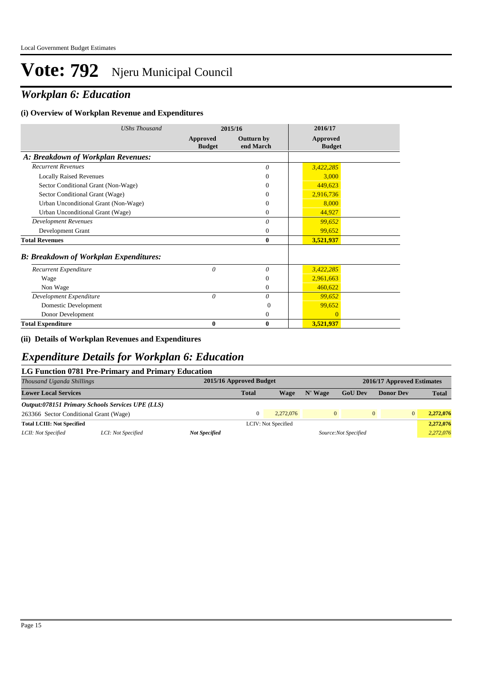## *Workplan 6: Education*

#### **(i) Overview of Workplan Revenue and Expenditures**

| <b>UShs Thousand</b>                          |                           | 2015/16                        | 2016/17                   |  |
|-----------------------------------------------|---------------------------|--------------------------------|---------------------------|--|
|                                               | Approved<br><b>Budget</b> | <b>Outturn by</b><br>end March | Approved<br><b>Budget</b> |  |
| A: Breakdown of Workplan Revenues:            |                           |                                |                           |  |
| <b>Recurrent Revenues</b>                     |                           | $\theta$                       | 3,422,285                 |  |
| <b>Locally Raised Revenues</b>                |                           | $\Omega$                       | 3,000                     |  |
| Sector Conditional Grant (Non-Wage)           |                           | $\Omega$                       | 449,623                   |  |
| Sector Conditional Grant (Wage)               |                           | $\Omega$                       | 2,916,736                 |  |
| Urban Unconditional Grant (Non-Wage)          |                           | $\Omega$                       | 8,000                     |  |
| Urban Unconditional Grant (Wage)              |                           | $\Omega$                       | 44,927                    |  |
| <b>Development Revenues</b>                   |                           | $\theta$                       | 99,652                    |  |
| Development Grant                             |                           | $\overline{0}$                 | 99,652                    |  |
| <b>Total Revenues</b>                         |                           | $\mathbf{0}$                   | 3,521,937                 |  |
| <b>B: Breakdown of Workplan Expenditures:</b> |                           |                                |                           |  |
| Recurrent Expenditure                         | $\theta$                  | $\theta$                       | 3,422,285                 |  |
| Wage                                          |                           | $\Omega$                       | 2,961,663                 |  |
| Non Wage                                      |                           | $\mathbf{0}$                   | 460,622                   |  |
| Development Expenditure                       | $\theta$                  | $\theta$                       | 99,652                    |  |
| Domestic Development                          |                           | $\Omega$                       | 99,652                    |  |
| Donor Development                             |                           | $\mathbf{0}$                   | $\mathbf{0}$              |  |
| <b>Total Expenditure</b>                      | 0                         | $\bf{0}$                       | 3,521,937                 |  |

#### **(ii) Details of Workplan Revenues and Expenditures**

#### *Expenditure Details for Workplan 6: Education*

#### **LG Function 0781 Pre-Primary and Primary Education**

| Thousand Uganda Shillings              |                                                         |                      | 2015/16 Approved Budget<br>2016/17 Approved Estimates |                     |              |                       |                            |              |
|----------------------------------------|---------------------------------------------------------|----------------------|-------------------------------------------------------|---------------------|--------------|-----------------------|----------------------------|--------------|
| <b>Lower Local Services</b>            |                                                         |                      | <b>Total</b>                                          | Wage                | N' Wage      | <b>GoU</b> Dev        | <b>Donor Dev</b>           | <b>Total</b> |
|                                        | <b>Output:078151 Primary Schools Services UPE (LLS)</b> |                      |                                                       |                     |              |                       |                            |              |
| 263366 Sector Conditional Grant (Wage) |                                                         |                      |                                                       | 2.272.076           | $\mathbf{0}$ |                       | $\overline{0}$<br>$\Omega$ | 2,272,076    |
| <b>Total LCIII: Not Specified</b>      |                                                         |                      |                                                       | LCIV: Not Specified |              |                       |                            | 2,272,076    |
| LCII: Not Specified                    | LCI: Not Specified                                      | <b>Not Specified</b> |                                                       |                     |              | Source: Not Specified |                            | 2,272,076    |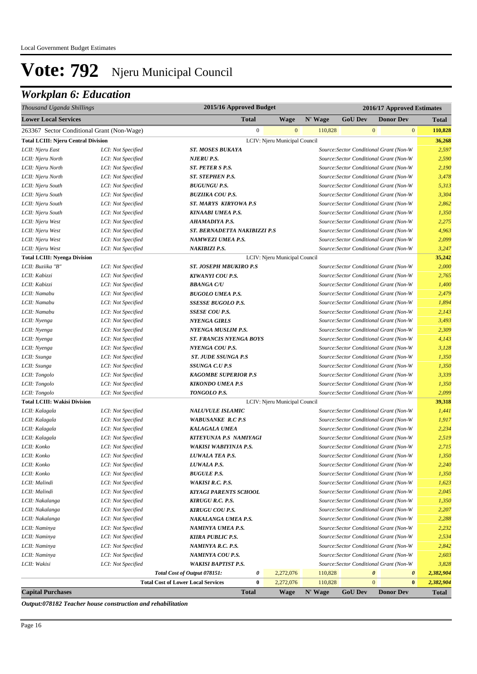## *Workplan 6: Education*

| Thousand Uganda Shillings                  |                                            |                                           | 2015/16 Approved Budget       |              |         | 2016/17 Approved Estimates              |                       |                       |              |
|--------------------------------------------|--------------------------------------------|-------------------------------------------|-------------------------------|--------------|---------|-----------------------------------------|-----------------------|-----------------------|--------------|
| <b>Lower Local Services</b>                |                                            |                                           | <b>Total</b>                  | <b>Wage</b>  | N' Wage | <b>GoU Dev</b>                          |                       | <b>Donor Dev</b>      | <b>Total</b> |
|                                            | 263367 Sector Conditional Grant (Non-Wage) |                                           | $\mathbf{0}$                  | $\mathbf{0}$ | 110,828 |                                         | $\mathbf{0}$          | $\mathbf{0}$          | 110,828      |
| <b>Total LCIII: Njeru Central Division</b> |                                            |                                           | LCIV: Njeru Municipal Council |              |         |                                         |                       |                       | 36,268       |
| LCII: Njeru East                           | LCI: Not Specified                         | <b>ST. MOSES BUKAYA</b>                   |                               |              |         | Source: Sector Conditional Grant (Non-W |                       |                       | 2,597        |
| LCII: Njeru North                          | LCI: Not Specified                         | <b>NJERU P.S.</b>                         |                               |              |         | Source: Sector Conditional Grant (Non-W |                       |                       | 2,590        |
| LCII: Njeru North                          | LCI: Not Specified                         | ST. PETER S P.S.                          |                               |              |         | Source: Sector Conditional Grant (Non-W |                       |                       | 2,190        |
| LCII: Njeru North                          | LCI: Not Specified                         | ST. STEPHEN P.S.                          |                               |              |         | Source: Sector Conditional Grant (Non-W |                       |                       | 3,478        |
| LCII: Njeru South                          | LCI: Not Specified                         | <b>BUGUNGU P.S.</b>                       |                               |              |         | Source: Sector Conditional Grant (Non-W |                       |                       | 5,313        |
| LCII: Njeru South                          | LCI: Not Specified                         | <b>BUZIIKA COU P.S.</b>                   |                               |              |         | Source: Sector Conditional Grant (Non-W |                       |                       | 3,304        |
| LCII: Njeru South                          | LCI: Not Specified                         | <b>ST. MARYS KIRYOWA P.S</b>              |                               |              |         | Source: Sector Conditional Grant (Non-W |                       |                       | 2,862        |
| LCII: Njeru South                          | LCI: Not Specified                         | <b>KINAABI UMEA P.S.</b>                  |                               |              |         | Source: Sector Conditional Grant (Non-W |                       |                       | 1,350        |
| LCII: Njeru West                           | LCI: Not Specified                         | <b>AHAMADIYA P.S.</b>                     |                               |              |         | Source: Sector Conditional Grant (Non-W |                       |                       | 2,275        |
| LCII: Njeru West                           | LCI: Not Specified                         | ST. BERNADETTA NAKIBIZZI P.S              |                               |              |         | Source: Sector Conditional Grant (Non-W |                       |                       | 4,963        |
| LCII: Njeru West                           | LCI: Not Specified                         | NAMWEZI UMEA P.S.                         |                               |              |         | Source: Sector Conditional Grant (Non-W |                       |                       | 2,099        |
| LCII: Njeru West                           | LCI: Not Specified                         | <b>NAKIBIZI P.S.</b>                      |                               |              |         | Source: Sector Conditional Grant (Non-W |                       |                       | 3,247        |
| <b>Total LCIII: Nyenga Division</b>        |                                            |                                           | LCIV: Njeru Municipal Council |              |         |                                         |                       |                       | 35,242       |
| LCII: Buziika "B"                          | LCI: Not Specified                         | <b>ST. JOSEPH MBUKIRO P.S</b>             |                               |              |         | Source: Sector Conditional Grant (Non-W |                       |                       | 2,000        |
| LCII: Kabizzi                              | LCI: Not Specified                         | <b>KIWANYI COU P.S.</b>                   |                               |              |         | Source: Sector Conditional Grant (Non-W |                       |                       | 2,765        |
| LCII: Kabizzi                              | LCI: Not Specified                         | <b>BBANGA C/U</b>                         |                               |              |         | Source: Sector Conditional Grant (Non-W |                       |                       | 1,400        |
| LCII: Namabu                               | LCI: Not Specified                         | <b>BUGOLO UMEA P.S.</b>                   |                               |              |         | Source: Sector Conditional Grant (Non-W |                       |                       | 2,479        |
| LCII: Namabu                               | LCI: Not Specified                         | <i>SSESSE BUGOLO P.S.</i>                 |                               |              |         | Source: Sector Conditional Grant (Non-W |                       |                       | 1,894        |
| LCII: Namabu                               | LCI: Not Specified                         | <b>SSESE COU P.S.</b>                     |                               |              |         | Source: Sector Conditional Grant (Non-W |                       |                       | 2,143        |
| LCII: Nyenga                               | LCI: Not Specified                         | <b>NYENGA GIRLS</b>                       |                               |              |         | Source: Sector Conditional Grant (Non-W |                       |                       | 3,493        |
| LCII: Nyenga                               | LCI: Not Specified                         | <b>NYENGA MUSLIM P.S.</b>                 |                               |              |         | Source: Sector Conditional Grant (Non-W |                       |                       | 2,309        |
| LCII: Nyenga                               | LCI: Not Specified                         | <b>ST. FRANCIS NYENGA BOYS</b>            |                               |              |         | Source: Sector Conditional Grant (Non-W |                       |                       | 4,143        |
| LCII: Nyenga                               | LCI: Not Specified                         | NYENGA COU P.S.                           |                               |              |         | Source: Sector Conditional Grant (Non-W |                       |                       | 3,128        |
| LCII: Ssunga                               | LCI: Not Specified                         | <b>ST. JUDE SSUNGA P.S</b>                |                               |              |         | Source: Sector Conditional Grant (Non-W |                       |                       | 1,350        |
| LCII: Ssunga                               | LCI: Not Specified                         | SSUNGA C.U P.S                            |                               |              |         | Source: Sector Conditional Grant (Non-W |                       |                       | 1,350        |
| LCII: Tongolo                              | LCI: Not Specified                         | <b>KAGOMBE SUPERIOR P.S</b>               |                               |              |         | Source: Sector Conditional Grant (Non-W |                       |                       | 3,339        |
| LCII: Tongolo                              | LCI: Not Specified                         | <b>KIKONDO UMEA P.S</b>                   |                               |              |         | Source: Sector Conditional Grant (Non-W |                       |                       | 1,350        |
| LCII: Tongolo                              | LCI: Not Specified                         | TONGOLO P.S.                              |                               |              |         | Source: Sector Conditional Grant (Non-W |                       |                       | 2,099        |
| <b>Total LCIII: Wakisi Division</b>        |                                            |                                           | LCIV: Njeru Municipal Council |              |         |                                         |                       |                       | 39,318       |
| LCII: Kalagala                             | LCI: Not Specified                         | <b>NALUVULE ISLAMIC</b>                   |                               |              |         | Source: Sector Conditional Grant (Non-W |                       |                       | 1,441        |
| LCII: Kalagala                             | LCI: Not Specified                         | <b>WABUSANKE R.C P.S</b>                  |                               |              |         | Source: Sector Conditional Grant (Non-W |                       |                       | 1,917        |
| LCII: Kalagala                             | LCI: Not Specified                         | <b>KALAGALA UMEA</b>                      |                               |              |         | Source: Sector Conditional Grant (Non-W |                       |                       | 2,234        |
| LCII: Kalagala                             | LCI: Not Specified                         | KITEYUNJA P.S NAMIYAGI                    |                               |              |         | Source: Sector Conditional Grant (Non-W |                       |                       | 2,519        |
| LCII: Konko                                | LCI: Not Specified                         | <b>WAKISI WABIYINJA P.S.</b>              |                               |              |         | Source: Sector Conditional Grant (Non-W |                       |                       | 2,715        |
| LCII: Konko                                | LCI: Not Specified                         | LUWALA TEA P.S.                           |                               |              |         | Source: Sector Conditional Grant (Non-W |                       |                       | 1,350        |
| LCII: Konko                                | LCI: Not Specified                         | LUWALA P.S.                               |                               |              |         | Source: Sector Conditional Grant (Non-W |                       |                       | 2,240        |
| LCII: Konko                                | LCI: Not Specified                         | <b>BUGULE P.S.</b>                        |                               |              |         | Source: Sector Conditional Grant (Non-W |                       |                       | 1,350        |
| LCII: Malindi                              | LCI: Not Specified                         | <b>WAKISI R.C. P.S.</b>                   |                               |              |         | Source: Sector Conditional Grant (Non-W |                       |                       | 1,623        |
| LCII: Malindi                              | LCI: Not Specified                         | KIYAGI PARENTS SCHOOL                     |                               |              |         | Source: Sector Conditional Grant (Non-W |                       |                       | 2,045        |
| LCII: Nakalanga                            | LCI: Not Specified                         | <b>KIRUGU R.C. P.S.</b>                   |                               |              |         | Source: Sector Conditional Grant (Non-W |                       |                       | 1,350        |
| LCII: Nakalanga                            | LCI: Not Specified                         | KIRUGU COU P.S.                           |                               |              |         | Source: Sector Conditional Grant (Non-W |                       |                       | 2,207        |
| LCII: Nakalanga                            | LCI: Not Specified                         | NAKALANGA UMEA P.S.                       |                               |              |         | Source: Sector Conditional Grant (Non-W |                       |                       | 2,288        |
| LCII: Naminya                              | LCI: Not Specified                         | NAMINYA UMEA P.S.                         |                               |              |         | Source: Sector Conditional Grant (Non-W |                       |                       | 2,232        |
| LCII: Naminya                              | LCI: Not Specified                         | <b>KIIRA PUBLIC P.S.</b>                  |                               |              |         | Source: Sector Conditional Grant (Non-W |                       |                       | 2,534        |
| LCII: Naminya                              | LCI: Not Specified                         | NAMINYA R.C. P.S.                         |                               |              |         | Source: Sector Conditional Grant (Non-W |                       |                       | 2,842        |
| LCII: Naminya                              | LCI: Not Specified                         | NAMINYA COU P.S.                          |                               |              |         | Source: Sector Conditional Grant (Non-W |                       |                       | 2,603        |
| LCII: Wakisi                               | LCI: Not Specified                         | <b>WAKISI BAPTIST P.S.</b>                |                               |              |         | Source: Sector Conditional Grant (Non-W |                       |                       | 3,828        |
|                                            |                                            | Total Cost of Output 078151:              | 0                             | 2,272,076    | 110,828 |                                         | $\boldsymbol{\theta}$ | $\boldsymbol{\theta}$ | 2,382,904    |
|                                            |                                            | <b>Total Cost of Lower Local Services</b> | $\bf{0}$                      | 2,272,076    | 110,828 |                                         | $\mathbf{0}$          | $\bf{0}$              | 2,382,904    |
| <b>Capital Purchases</b>                   |                                            |                                           | <b>Total</b>                  | <b>Wage</b>  | N' Wage | <b>GoU Dev</b>                          |                       | <b>Donor Dev</b>      | <b>Total</b> |

*Output:078182 Teacher house construction and rehabilitation*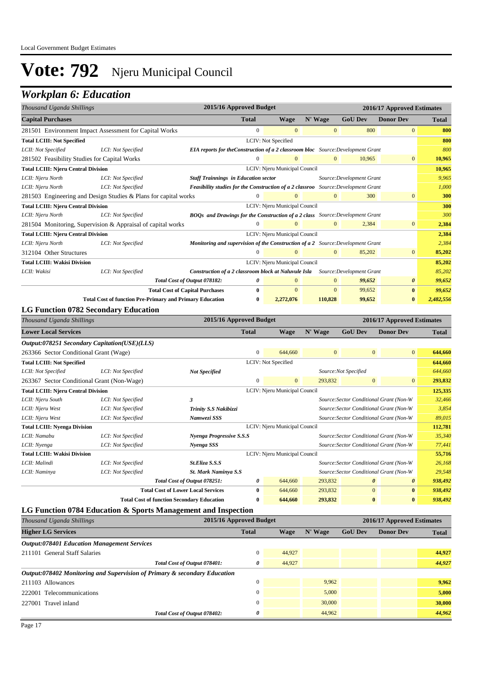## *Workplan 6: Education*

| Thousand Uganda Shillings                                                                                                       |                                                          | 2015/16 Approved Budget                                                                   |              |                               |                |                           | 2016/17 Approved Estimates |              |
|---------------------------------------------------------------------------------------------------------------------------------|----------------------------------------------------------|-------------------------------------------------------------------------------------------|--------------|-------------------------------|----------------|---------------------------|----------------------------|--------------|
| <b>Capital Purchases</b>                                                                                                        | N' Wage<br><b>GoU Dev</b><br><b>Wage</b><br><b>Total</b> |                                                                                           |              |                               |                | <b>Donor Dev</b>          | <b>Total</b>               |              |
| 281501 Environment Impact Assessment for Capital Works                                                                          |                                                          |                                                                                           | $\mathbf{0}$ | $\overline{0}$                | $\mathbf{0}$   | 800                       | $\overline{0}$             | 800          |
| <b>Total LCIII: Not Specified</b>                                                                                               |                                                          |                                                                                           |              | LCIV: Not Specified           |                |                           |                            | 800          |
| LCII: Not Specified                                                                                                             | LCI: Not Specified                                       | EIA reports for the Construction of a 2 classroom bloc Source: Development Grant          |              |                               |                |                           |                            | 800          |
| 281502 Feasibility Studies for Capital Works                                                                                    |                                                          |                                                                                           | $\Omega$     | $\Omega$                      | $\overline{0}$ | 10,965                    | $\mathbf{0}$               | 10,965       |
| <b>Total LCIII: Njeru Central Division</b>                                                                                      |                                                          |                                                                                           |              | LCIV: Njeru Municipal Council |                |                           |                            | 10,965       |
| LCII: Njeru North                                                                                                               | LCI: Not Specified                                       | <b>Staff Trainnings in Education sector</b>                                               |              |                               |                | Source: Development Grant |                            | 9,965        |
| LCII: Njeru North                                                                                                               | LCI: Not Specified                                       | <b>Feasibility studies for the Construction of a 2 classroo</b> Source: Development Grant |              |                               |                |                           |                            | 1,000        |
| 281503 Engineering and Design Studies & Plans for capital works                                                                 |                                                          |                                                                                           | $\mathbf{0}$ | $\Omega$                      | $\mathbf{0}$   | 300                       | $\mathbf{0}$               | 300          |
| <b>Total LCIII: Njeru Central Division</b><br>LCIV: Njeru Municipal Council                                                     |                                                          |                                                                                           |              |                               |                |                           | 300                        |              |
| LCII: Njeru North<br>LCI: Not Specified<br><b>BOOs and Drawings for the Construction of a 2 class</b> Source: Development Grant |                                                          |                                                                                           |              |                               |                | 300                       |                            |              |
| 281504 Monitoring, Supervision & Appraisal of capital works                                                                     |                                                          |                                                                                           | $\Omega$     | $\Omega$                      | $\mathbf{0}$   | 2,384                     | $\mathbf{0}$               | 2,384        |
| <b>Total LCIII: Njeru Central Division</b>                                                                                      |                                                          |                                                                                           |              | LCIV: Njeru Municipal Council |                |                           |                            | 2,384        |
| LCII: Njeru North                                                                                                               | LCI: Not Specified                                       | Monitoring and supervision of the Construction of a 2 Source: Development Grant           |              |                               |                |                           |                            | 2,384        |
| 312104 Other Structures                                                                                                         |                                                          |                                                                                           | $\Omega$     | $\Omega$                      | $\Omega$       | 85,202                    | $\mathbf{0}$               | 85,202       |
| <b>Total LCIII: Wakisi Division</b>                                                                                             |                                                          |                                                                                           |              | LCIV: Njeru Municipal Council |                |                           |                            | 85,202       |
| LCII: Wakisi                                                                                                                    | LCI: Not Specified                                       | Construction of a 2 classroom block at Naluvule Isla                                      |              |                               |                | Source: Development Grant |                            | 85,202       |
|                                                                                                                                 |                                                          | Total Cost of Output 078182:                                                              | 0            | $\overline{0}$                | $\mathbf{0}$   | 99,652                    | $\boldsymbol{\theta}$      | 99,652       |
|                                                                                                                                 |                                                          | <b>Total Cost of Capital Purchases</b>                                                    | $\bf{0}$     | $\overline{0}$                | $\mathbf{0}$   | 99.652                    | $\bf{0}$                   | 99,652       |
|                                                                                                                                 |                                                          | <b>Total Cost of function Pre-Primary and Primary Education</b>                           | $\bf{0}$     | 2,272,076                     | 110,828        | 99,652                    | $\bf{0}$                   | 2,482,556    |
| <b>LG Function 0782 Secondary Education</b>                                                                                     |                                                          |                                                                                           |              |                               |                |                           |                            |              |
| Thousand Uganda Shillings                                                                                                       |                                                          | 2015/16 Approved Budget                                                                   |              |                               |                |                           | 2016/17 Approved Estimates |              |
| <b>Lower Local Services</b>                                                                                                     |                                                          |                                                                                           | <b>Total</b> | Wage                          | N' Wage        | <b>GoU Dev</b>            | <b>Donor Dev</b>           | <b>Total</b> |
| Output:078251 Secondary Capitation(USE)(LLS)                                                                                    |                                                          |                                                                                           |              |                               |                |                           |                            |              |

| 263366 Sector Conditional Grant (Wage)                                      |                                                                              |                                                   | $\Omega$                                | 644,660                       | $\mathbf{0}$ | $\overline{0}$                          | $\overline{0}$ | 644,660 |
|-----------------------------------------------------------------------------|------------------------------------------------------------------------------|---------------------------------------------------|-----------------------------------------|-------------------------------|--------------|-----------------------------------------|----------------|---------|
| <b>Total LCIII: Not Specified</b>                                           |                                                                              |                                                   |                                         | LCIV: Not Specified           |              |                                         |                | 644,660 |
| LCII: Not Specified                                                         | LCI: Not Specified                                                           | Source:Not Specified<br><b>Not Specified</b>      |                                         |                               |              | 644,660                                 |                |         |
| 263367 Sector Conditional Grant (Non-Wage)                                  |                                                                              |                                                   | $\Omega$                                | $\mathbf{0}$                  | 293,832      | $\mathbf{0}$                            | $\mathbf{0}$   | 293,832 |
| LCIV: Njeru Municipal Council<br><b>Total LCIII: Njeru Central Division</b> |                                                                              |                                                   |                                         |                               |              | 125,335                                 |                |         |
| LCII: Njeru South                                                           | LCI: Not Specified                                                           | Source: Sector Conditional Grant (Non-W<br>3      |                                         |                               |              |                                         | 32,466         |         |
| LCII: Njeru West                                                            | LCI: Not Specified                                                           | Trinity S.S Nakibizzi                             | Source: Sector Conditional Grant (Non-W |                               |              |                                         |                | 3,854   |
| LCII: Njeru West                                                            | Namwezi SSS<br>Source: Sector Conditional Grant (Non-W<br>LCI: Not Specified |                                                   |                                         |                               |              | 89,015                                  |                |         |
| LCIV: Njeru Municipal Council<br><b>Total LCIII: Nyenga Division</b>        |                                                                              |                                                   |                                         |                               |              | 112,781                                 |                |         |
| LCII: Namabu                                                                | LCI: Not Specified                                                           | Nyenga Progressive S.S.S                          |                                         |                               |              | Source: Sector Conditional Grant (Non-W |                | 35,340  |
| LCII: Nyenga                                                                | LCI: Not Specified                                                           | Nyenga SSS                                        |                                         |                               |              | Source: Sector Conditional Grant (Non-W |                | 77,441  |
| <b>Total LCIII: Wakisi Division</b>                                         |                                                                              |                                                   |                                         | LCIV: Njeru Municipal Council |              |                                         |                | 55,716  |
| LCII: Malindi                                                               | LCI: Not Specified                                                           | St.Eliza S.S.S                                    |                                         |                               |              | Source: Sector Conditional Grant (Non-W |                | 26,168  |
| LCII: Naminya                                                               | LCI: Not Specified                                                           | <b>St. Mark Naminya S.S</b>                       |                                         |                               |              | Source: Sector Conditional Grant (Non-W |                | 29,548  |
|                                                                             |                                                                              | Total Cost of Output 078251:                      | 0                                       | 644,660                       | 293,832      | $\boldsymbol{\theta}$                   | $\theta$       | 938,492 |
|                                                                             |                                                                              | <b>Total Cost of Lower Local Services</b>         | $\mathbf{0}$                            | 644,660                       | 293,832      | $\overline{0}$                          | $\bf{0}$       | 938,492 |
|                                                                             |                                                                              | <b>Total Cost of function Secondary Education</b> | 0                                       | 644,660                       | 293,832      | $\bf{0}$                                | $\bf{0}$       | 938,492 |

#### **LG Function 0784 Education & Sports Management and Inspection**

| Thousand Uganda Shillings                                                 | 2015/16 Approved Budget |        |         | 2016/17 Approved Estimates |                  |              |  |
|---------------------------------------------------------------------------|-------------------------|--------|---------|----------------------------|------------------|--------------|--|
| <b>Higher LG Services</b>                                                 | <b>Total</b>            | Wage   | N' Wage | <b>GoU Dev</b>             | <b>Donor Dev</b> | <b>Total</b> |  |
| <b>Output:078401 Education Management Services</b>                        |                         |        |         |                            |                  |              |  |
| 211101 General Staff Salaries                                             | $\Omega$                | 44,927 |         |                            |                  | 44,927       |  |
| Total Cost of Output 078401:                                              | 0                       | 44,927 |         |                            |                  | 44,927       |  |
| Output:078402 Monitoring and Supervision of Primary & secondary Education |                         |        |         |                            |                  |              |  |
| 211103 Allowances                                                         | $\Omega$                |        | 9,962   |                            |                  | 9,962        |  |
| 222001 Telecommunications                                                 | $\Omega$                |        | 5,000   |                            |                  | 5,000        |  |
| 227001 Travel inland                                                      | $\Omega$                |        | 30,000  |                            |                  | 30,000       |  |
| Total Cost of Output 078402:                                              | 0                       |        | 44,962  |                            |                  | 44,962       |  |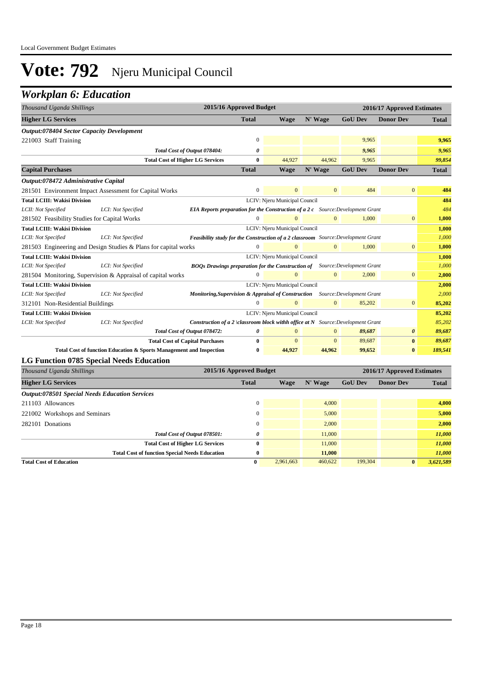## *Workplan 6: Education*

| Thousand Uganda Shillings                                                                                              |                                                                     | 2015/16 Approved Budget<br>2016/17 Approved Estimates                              |                  |                               |                |                |                       |              |
|------------------------------------------------------------------------------------------------------------------------|---------------------------------------------------------------------|------------------------------------------------------------------------------------|------------------|-------------------------------|----------------|----------------|-----------------------|--------------|
| <b>Higher LG Services</b>                                                                                              | N' Wage<br><b>GoU Dev</b><br><b>Total</b><br><b>Wage</b>            |                                                                                    |                  | <b>Donor Dev</b>              | <b>Total</b>   |                |                       |              |
| Output:078404 Sector Capacity Development                                                                              |                                                                     |                                                                                    |                  |                               |                |                |                       |              |
| 221003 Staff Training                                                                                                  |                                                                     |                                                                                    | $\boldsymbol{0}$ |                               |                | 9,965          |                       | 9,965        |
| Total Cost of Output 078404:<br>0                                                                                      |                                                                     |                                                                                    |                  |                               |                | 9,965          |                       | 9,965        |
| 44.927<br>44.962<br><b>Total Cost of Higher LG Services</b><br>9,965<br>$\mathbf{0}$                                   |                                                                     |                                                                                    |                  |                               |                |                | 99,854                |              |
| <b>Capital Purchases</b>                                                                                               |                                                                     |                                                                                    | <b>Total</b>     | <b>Wage</b>                   | N' Wage        | <b>GoU Dev</b> | <b>Donor Dev</b>      | <b>Total</b> |
| Output:078472 Administrative Capital                                                                                   |                                                                     |                                                                                    |                  |                               |                |                |                       |              |
| 281501 Environment Impact Assessment for Capital Works                                                                 |                                                                     |                                                                                    | $\mathbf{0}$     | $\overline{0}$                | $\overline{0}$ | 484            | $\overline{0}$        | 484          |
| <b>Total LCIII: Wakisi Division</b>                                                                                    |                                                                     |                                                                                    |                  | LCIV: Njeru Municipal Council |                |                |                       | 484          |
| LCII: Not Specified                                                                                                    | LCI: Not Specified                                                  | EIA Reports preparation for the Construction of a 2 c Source: Development Grant    |                  |                               |                |                |                       | 484          |
| 281502 Feasibility Studies for Capital Works                                                                           |                                                                     |                                                                                    | $\mathbf{0}$     | $\overline{0}$                | $\overline{0}$ | 1,000          | $\mathbf{0}$          | 1,000        |
| <b>Total LCIII: Wakisi Division</b>                                                                                    |                                                                     | LCIV: Njeru Municipal Council                                                      |                  |                               |                |                |                       | 1,000        |
| LCII: Not Specified                                                                                                    | LCI: Not Specified                                                  | Feasibility study for the Construction of a 2 classroom Source: Development Grant  |                  |                               |                |                |                       | 1,000        |
| $\mathbf{0}$<br>$\overline{0}$<br>$\Omega$<br>1,000<br>281503 Engineering and Design Studies & Plans for capital works |                                                                     |                                                                                    |                  |                               | $\overline{0}$ | 1,000          |                       |              |
| <b>Total LCIII: Wakisi Division</b>                                                                                    |                                                                     |                                                                                    |                  | LCIV: Njeru Municipal Council |                |                |                       | 1,000        |
| LCII: Not Specified                                                                                                    | LCI: Not Specified                                                  | <b>BOQs Drawings preparation for the Construction of</b> Source: Development Grant |                  |                               |                |                |                       | 1,000        |
| 281504 Monitoring, Supervision & Appraisal of capital works                                                            |                                                                     |                                                                                    | $\Omega$         |                               | $\mathbf{0}$   | 2,000          | $\mathbf{0}$          | 2,000        |
| <b>Total LCIII: Wakisi Division</b>                                                                                    |                                                                     |                                                                                    |                  | LCIV: Njeru Municipal Council |                |                |                       | 2,000        |
| LCII: Not Specified                                                                                                    | LCI: Not Specified                                                  | Monitoring, Supervision & Appraisal of Construction Source: Development Grant      |                  |                               |                |                |                       | 2,000        |
| 312101 Non-Residential Buildings                                                                                       |                                                                     |                                                                                    |                  | $\Omega$                      | $\overline{0}$ | 85,202         | $\mathbf{0}$          | 85,202       |
| <b>Total LCIII: Wakisi Division</b>                                                                                    |                                                                     |                                                                                    |                  | LCIV: Njeru Municipal Council |                |                |                       | 85,202       |
| LCII: Not Specified                                                                                                    | LCI: Not Specified                                                  | Construction of a 2 \classroom block withh office at $N$ Source: Development Grant |                  |                               |                |                |                       | 85,202       |
|                                                                                                                        |                                                                     | Total Cost of Output 078472:                                                       | 0                | $\mathbf{0}$                  | $\overline{0}$ | 89,687         | $\boldsymbol{\theta}$ | 89,687       |
|                                                                                                                        |                                                                     | <b>Total Cost of Capital Purchases</b>                                             | $\bf{0}$         | $\mathbf{0}$                  | $\mathbf{0}$   | 89,687         | $\bf{0}$              | 89,687       |
|                                                                                                                        | Total Cost of function Education & Sports Management and Inspection |                                                                                    | $\bf{0}$         | 44,927                        | 44,962         | 99,652         | $\bf{0}$              | 189,541      |
| <b>LG Function 0785 Special Needs Education</b>                                                                        |                                                                     |                                                                                    |                  |                               |                |                |                       |              |
| Thousand Uganda Shillings                                                                                              |                                                                     | 2015/16 Approved Budget<br>2016/17 Approved Estimates                              |                  |                               |                |                |                       |              |

| Thousana Oganaa Shiilings                             | $201J/10$ Approved Duuget |           |         | 2010/17 Approved Estimates |                  |              |
|-------------------------------------------------------|---------------------------|-----------|---------|----------------------------|------------------|--------------|
| <b>Higher LG Services</b>                             | <b>Total</b>              | Wage      | N' Wage | <b>GoU Dev</b>             | <b>Donor Dev</b> | <b>Total</b> |
| <b>Output:078501 Special Needs Education Services</b> |                           |           |         |                            |                  |              |
| 211103 Allowances                                     | $\Omega$                  |           | 4.000   |                            |                  | 4,000        |
| 221002 Workshops and Seminars                         | 0                         |           | 5,000   |                            |                  | 5,000        |
| 282101 Donations                                      | $\Omega$                  |           | 2,000   |                            |                  | 2,000        |
| Total Cost of Output 078501:                          | 0                         |           | 11,000  |                            |                  | 11,000       |
| <b>Total Cost of Higher LG Services</b>               | 0                         |           | 11,000  |                            |                  | 11,000       |
| <b>Total Cost of function Special Needs Education</b> | $\bf{0}$                  |           | 11,000  |                            |                  | 11,000       |
| <b>Total Cost of Education</b>                        | $\bf{0}$                  | 2,961,663 | 460,622 | 199,304                    | $\bf{0}$         | 3,621,589    |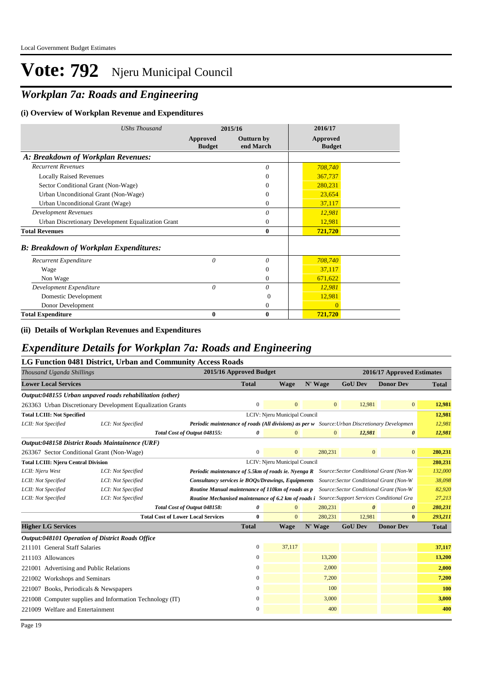## *Workplan 7a: Roads and Engineering*

#### **(i) Overview of Workplan Revenue and Expenditures**

| <b>UShs Thousand</b>                               |                           | 2015/16                        | 2016/17                   |
|----------------------------------------------------|---------------------------|--------------------------------|---------------------------|
|                                                    | Approved<br><b>Budget</b> | <b>Outturn by</b><br>end March | Approved<br><b>Budget</b> |
| A: Breakdown of Workplan Revenues:                 |                           |                                |                           |
| <b>Recurrent Revenues</b>                          |                           | 0                              | 708,740                   |
| <b>Locally Raised Revenues</b>                     |                           | $\Omega$                       | 367,737                   |
| Sector Conditional Grant (Non-Wage)                |                           | $\Omega$                       | 280,231                   |
| Urban Unconditional Grant (Non-Wage)               |                           | $\Omega$                       | 23,654                    |
| Urban Unconditional Grant (Wage)                   |                           | $\Omega$                       | 37,117                    |
| <b>Development Revenues</b>                        |                           | 0                              | 12,981                    |
| Urban Discretionary Development Equalization Grant |                           | 0                              | 12,981                    |
| <b>Total Revenues</b>                              |                           | $\mathbf{0}$                   | 721,720                   |
| <b>B: Breakdown of Workplan Expenditures:</b>      |                           |                                |                           |
| Recurrent Expenditure                              | $\theta$                  | 0                              | 708,740                   |
| Wage                                               |                           | $\mathbf{0}$                   | 37,117                    |
| Non Wage                                           |                           | $\Omega$                       | 671,622                   |
| Development Expenditure                            | 0                         | 0                              | 12,981                    |
| Domestic Development                               |                           | $\Omega$                       | 12,981                    |
| Donor Development                                  |                           | 0                              | $\overline{0}$            |
| <b>Total Expenditure</b>                           | 0                         | $\bf{0}$                       | 721,720                   |

#### **(ii) Details of Workplan Revenues and Expenditures**

### *Expenditure Details for Workplan 7a: Roads and Engineering*

| 2015/16 Approved Budget<br>Thousand Uganda Shillings<br>2016/17 Approved Estimates<br><b>Lower Local Services</b><br><b>GoU Dev</b><br><b>Donor Dev</b><br><b>Total</b><br><b>Wage</b><br>N' Wage<br>Output:048155 Urban unpaved roads rehabilitation (other)<br>$\boldsymbol{0}$<br>$\mathbf{0}$<br>$\mathbf{0}$<br>12,981<br>$\mathbf{0}$<br>263363 Urban Discretionary Development Equalization Grants<br>LCIV: Njeru Municipal Council<br><b>Total LCIII: Not Specified</b><br>LCII: Not Specified<br>LCI: Not Specified<br>Periodic maintenance of roads (All divisions) as per w Source: Urban Discretionary Developmen<br>Total Cost of Output 048155:<br>12,981<br>0<br>$\mathbf{0}$<br>$\boldsymbol{\theta}$<br>$\overline{0}$<br>Output:048158 District Roads Maintainence (URF)<br>$\mathbf{0}$<br>$\overline{0}$<br>280,231<br>$\mathbf{0}$<br>$\mathbf{0}$<br>263367 Sector Conditional Grant (Non-Wage)<br>LCIV: Njeru Municipal Council<br><b>Total LCIII: Njeru Central Division</b> |              |
|------------------------------------------------------------------------------------------------------------------------------------------------------------------------------------------------------------------------------------------------------------------------------------------------------------------------------------------------------------------------------------------------------------------------------------------------------------------------------------------------------------------------------------------------------------------------------------------------------------------------------------------------------------------------------------------------------------------------------------------------------------------------------------------------------------------------------------------------------------------------------------------------------------------------------------------------------------------------------------------------------|--------------|
|                                                                                                                                                                                                                                                                                                                                                                                                                                                                                                                                                                                                                                                                                                                                                                                                                                                                                                                                                                                                      |              |
|                                                                                                                                                                                                                                                                                                                                                                                                                                                                                                                                                                                                                                                                                                                                                                                                                                                                                                                                                                                                      | <b>Total</b> |
|                                                                                                                                                                                                                                                                                                                                                                                                                                                                                                                                                                                                                                                                                                                                                                                                                                                                                                                                                                                                      |              |
|                                                                                                                                                                                                                                                                                                                                                                                                                                                                                                                                                                                                                                                                                                                                                                                                                                                                                                                                                                                                      | 12,981       |
|                                                                                                                                                                                                                                                                                                                                                                                                                                                                                                                                                                                                                                                                                                                                                                                                                                                                                                                                                                                                      | 12,981       |
|                                                                                                                                                                                                                                                                                                                                                                                                                                                                                                                                                                                                                                                                                                                                                                                                                                                                                                                                                                                                      | 12,981       |
|                                                                                                                                                                                                                                                                                                                                                                                                                                                                                                                                                                                                                                                                                                                                                                                                                                                                                                                                                                                                      | 12,981       |
|                                                                                                                                                                                                                                                                                                                                                                                                                                                                                                                                                                                                                                                                                                                                                                                                                                                                                                                                                                                                      |              |
|                                                                                                                                                                                                                                                                                                                                                                                                                                                                                                                                                                                                                                                                                                                                                                                                                                                                                                                                                                                                      | 280,231      |
|                                                                                                                                                                                                                                                                                                                                                                                                                                                                                                                                                                                                                                                                                                                                                                                                                                                                                                                                                                                                      | 280,231      |
| LCII: Njeru West<br>LCI: Not Specified<br>Periodic maintenance of 5.5km of roads ie. Nyenga R Source: Sector Conditional Grant (Non-W                                                                                                                                                                                                                                                                                                                                                                                                                                                                                                                                                                                                                                                                                                                                                                                                                                                                | 132,000      |
| Consultancy services ie BOOs/Drawings, Equipments Source: Sector Conditional Grant (Non-W<br>LCII: Not Specified<br>LCI: Not Specified                                                                                                                                                                                                                                                                                                                                                                                                                                                                                                                                                                                                                                                                                                                                                                                                                                                               | 38,098       |
| Routine Manual maintenance of 110km of roads as p Source: Sector Conditional Grant (Non-W<br>LCII: Not Specified<br>LCI: Not Specified                                                                                                                                                                                                                                                                                                                                                                                                                                                                                                                                                                                                                                                                                                                                                                                                                                                               | 82,920       |
| LCII: Not Specified<br>LCI: Not Specified<br>Routine Mechanised maintenance of 6.2 km of roads i Source: Support Services Conditional Gra                                                                                                                                                                                                                                                                                                                                                                                                                                                                                                                                                                                                                                                                                                                                                                                                                                                            | 27,213       |
| Total Cost of Output 048158:<br>280,231<br>0<br>$\boldsymbol{\theta}$<br>$\boldsymbol{\theta}$<br>$\Omega$                                                                                                                                                                                                                                                                                                                                                                                                                                                                                                                                                                                                                                                                                                                                                                                                                                                                                           | 280,231      |
| <b>Total Cost of Lower Local Services</b><br>$\bf{0}$<br>$\mathbf{0}$<br>280,231<br>12,981<br>$\bf{0}$                                                                                                                                                                                                                                                                                                                                                                                                                                                                                                                                                                                                                                                                                                                                                                                                                                                                                               | 293,211      |
| <b>GoU Dev</b><br><b>Higher LG Services</b><br><b>Total</b><br>N' Wage<br><b>Donor Dev</b><br><b>Wage</b>                                                                                                                                                                                                                                                                                                                                                                                                                                                                                                                                                                                                                                                                                                                                                                                                                                                                                            | <b>Total</b> |
| <b>Output:048101 Operation of District Roads Office</b>                                                                                                                                                                                                                                                                                                                                                                                                                                                                                                                                                                                                                                                                                                                                                                                                                                                                                                                                              |              |
| 37,117<br>211101 General Staff Salaries<br>0                                                                                                                                                                                                                                                                                                                                                                                                                                                                                                                                                                                                                                                                                                                                                                                                                                                                                                                                                         | 37,117       |
| 13,200<br>211103 Allowances<br>0                                                                                                                                                                                                                                                                                                                                                                                                                                                                                                                                                                                                                                                                                                                                                                                                                                                                                                                                                                     | 13,200       |
| 2,000<br>0<br>221001 Advertising and Public Relations                                                                                                                                                                                                                                                                                                                                                                                                                                                                                                                                                                                                                                                                                                                                                                                                                                                                                                                                                | 2,000        |
| 7,200<br>$\overline{0}$<br>221002 Workshops and Seminars                                                                                                                                                                                                                                                                                                                                                                                                                                                                                                                                                                                                                                                                                                                                                                                                                                                                                                                                             | 7,200        |
| 100<br>0<br>221007 Books, Periodicals & Newspapers                                                                                                                                                                                                                                                                                                                                                                                                                                                                                                                                                                                                                                                                                                                                                                                                                                                                                                                                                   | 100          |
| 3,000<br>0<br>221008 Computer supplies and Information Technology (IT)                                                                                                                                                                                                                                                                                                                                                                                                                                                                                                                                                                                                                                                                                                                                                                                                                                                                                                                               |              |
| 221009 Welfare and Entertainment<br>400<br>0                                                                                                                                                                                                                                                                                                                                                                                                                                                                                                                                                                                                                                                                                                                                                                                                                                                                                                                                                         | 3,000        |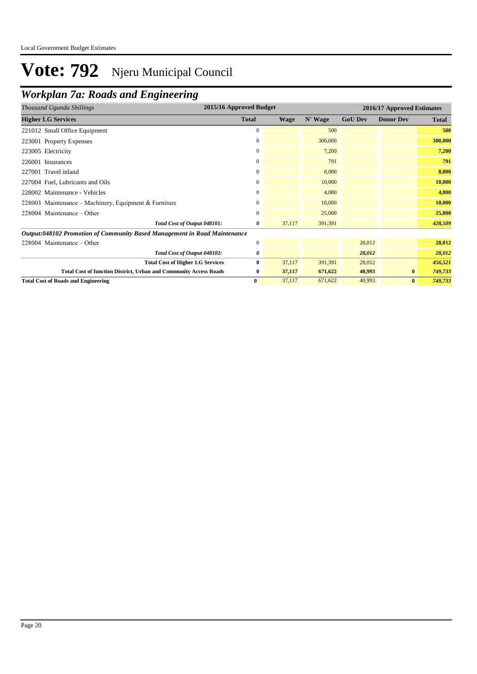## *Workplan 7a: Roads and Engineering*

| Thousand Uganda Shillings                                                        | 2015/16 Approved Budget |             |         | 2016/17 Approved Estimates |                  |              |
|----------------------------------------------------------------------------------|-------------------------|-------------|---------|----------------------------|------------------|--------------|
| <b>Higher LG Services</b>                                                        | <b>Total</b>            | <b>Wage</b> | N' Wage | <b>GoU Dev</b>             | <b>Donor Dev</b> | <b>Total</b> |
| 221012 Small Office Equipment                                                    | $\mathbf{0}$            |             | 500     |                            |                  | 500          |
| 223001 Property Expenses                                                         | $\mathbf{0}$            |             | 300,000 |                            |                  | 300,000      |
| 223005 Electricity                                                               | $\overline{0}$          |             | 7,200   |                            |                  | 7,200        |
| 226001 Insurances                                                                | $\overline{0}$          |             | 791     |                            |                  | 791          |
| 227001 Travel inland                                                             | $\mathbf{0}$            |             | 8,000   |                            |                  | 8,000        |
| 227004 Fuel, Lubricants and Oils                                                 | $\overline{0}$          |             | 10,000  |                            |                  | 10,000       |
| 228002 Maintenance - Vehicles                                                    | $\overline{0}$          |             | 4,000   |                            |                  | 4,000        |
| 228003 Maintenance – Machinery, Equipment & Furniture                            | $\overline{0}$          |             | 10,000  |                            |                  | 10,000       |
| $228004$ Maintenance – Other                                                     | $\mathbf{0}$            |             | 25,000  |                            |                  | 25,000       |
| Total Cost of Output 048101:                                                     | 0                       | 37,117      | 391,391 |                            |                  | 428,509      |
| <b>Output:048102 Promotion of Community Based Management in Road Maintenance</b> |                         |             |         |                            |                  |              |
| $228004$ Maintenance – Other                                                     | $\mathbf{0}$            |             |         | 28,012                     |                  | 28,012       |
| Total Cost of Output 048102:                                                     | 0                       |             |         | 28,012                     |                  | 28,012       |
| <b>Total Cost of Higher LG Services</b>                                          | $\bf{0}$                | 37,117      | 391,391 | 28,012                     |                  | 456,521      |
| <b>Total Cost of function District, Urban and Community Access Roads</b>         | $\bf{0}$                | 37,117      | 671,622 | 40,993                     | $\mathbf{0}$     | 749,733      |
| <b>Total Cost of Roads and Engineering</b>                                       | $\bf{0}$                | 37,117      | 671,622 | 40,993                     | $\bf{0}$         | 749,733      |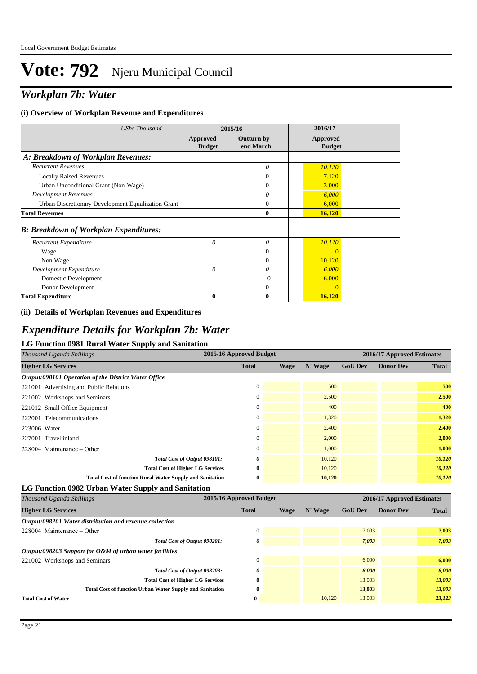## *Workplan 7b: Water*

#### **(i) Overview of Workplan Revenue and Expenditures**

| <b>UShs Thousand</b>                               | 2015/16                          |                         | 2016/17                   |  |
|----------------------------------------------------|----------------------------------|-------------------------|---------------------------|--|
|                                                    | <b>Approved</b><br><b>Budget</b> | Outturn by<br>end March | Approved<br><b>Budget</b> |  |
| A: Breakdown of Workplan Revenues:                 |                                  |                         |                           |  |
| <b>Recurrent Revenues</b>                          |                                  | 0                       | 10,120                    |  |
| <b>Locally Raised Revenues</b>                     |                                  | $\Omega$                | 7,120                     |  |
| Urban Unconditional Grant (Non-Wage)               |                                  | $\overline{0}$          | 3,000                     |  |
| <b>Development Revenues</b>                        |                                  | $\theta$                | 6,000                     |  |
| Urban Discretionary Development Equalization Grant |                                  | 0                       | 6,000                     |  |
| <b>Total Revenues</b>                              |                                  | $\bf{0}$                | 16,120                    |  |
| <b>B: Breakdown of Workplan Expenditures:</b>      |                                  |                         |                           |  |
| Recurrent Expenditure                              | 0                                | $\theta$                | 10,120                    |  |
| Wage                                               |                                  | $\theta$                | $\Omega$                  |  |
| Non Wage                                           |                                  | $\Omega$                | 10,120                    |  |
| Development Expenditure                            | 0                                | $\theta$                | 6,000                     |  |
| Domestic Development                               |                                  | 0                       | 6,000                     |  |
| Donor Development                                  |                                  | $\theta$                | $\Omega$                  |  |
| <b>Total Expenditure</b>                           | 0                                | $\bf{0}$                | 16,120                    |  |

#### **(ii) Details of Workplan Revenues and Expenditures**

#### *Expenditure Details for Workplan 7b: Water*

#### **LG Function 0981 Rural Water Supply and Sanitation**

| 2015/16 Approved Budget<br>Thousand Uganda Shillings            |              |             |         |                | 2016/17 Approved Estimates |              |  |
|-----------------------------------------------------------------|--------------|-------------|---------|----------------|----------------------------|--------------|--|
| <b>Higher LG Services</b>                                       | <b>Total</b> | <b>Wage</b> | N' Wage | <b>GoU Dev</b> | <b>Donor Dev</b>           | <b>Total</b> |  |
| Output:098101 Operation of the District Water Office            |              |             |         |                |                            |              |  |
| 221001 Advertising and Public Relations                         | $\mathbf{0}$ |             | 500     |                |                            | 500          |  |
| 221002 Workshops and Seminars                                   | $\mathbf{0}$ |             | 2,500   |                |                            | 2,500        |  |
| 221012 Small Office Equipment                                   | $\mathbf{0}$ |             | 400     |                |                            | 400          |  |
| 222001 Telecommunications                                       | $\Omega$     |             | 1,320   |                |                            | 1,320        |  |
| 223006 Water                                                    | $\Omega$     |             | 2,400   |                |                            | 2,400        |  |
| 227001 Travel inland                                            | $\mathbf{0}$ |             | 2,000   |                |                            | 2,000        |  |
| $228004$ Maintenance – Other                                    | $\mathbf{0}$ |             | 1.000   |                |                            | 1,000        |  |
| Total Cost of Output 098101:                                    | 0            |             | 10,120  |                |                            | 10,120       |  |
| <b>Total Cost of Higher LG Services</b>                         | $\mathbf{0}$ |             | 10,120  |                |                            | 10,120       |  |
| <b>Total Cost of function Rural Water Supply and Sanitation</b> | $\bf{0}$     |             | 10,120  |                |                            | 10,120       |  |

#### **LG Function 0982 Urban Water Supply and Sanitation**

| Thousand Uganda Shillings                                       | 2015/16 Approved Budget |      |         | 2016/17 Approved Estimates |                  |              |
|-----------------------------------------------------------------|-------------------------|------|---------|----------------------------|------------------|--------------|
| <b>Higher LG Services</b>                                       | <b>Total</b>            | Wage | N' Wage | <b>GoU Dev</b>             | <b>Donor Dev</b> | <b>Total</b> |
| Output:098201 Water distribution and revenue collection         |                         |      |         |                            |                  |              |
| $228004$ Maintenance – Other                                    | $\Omega$                |      |         | 7.003                      |                  | 7,003        |
| Total Cost of Output 098201:                                    | 0                       |      |         | 7,003                      |                  | 7,003        |
| Output:098203 Support for O&M of urban water facilities         |                         |      |         |                            |                  |              |
| 221002 Workshops and Seminars                                   | $\Omega$                |      |         | 6,000                      |                  | 6,000        |
| Total Cost of Output 098203:                                    | 0                       |      |         | 6,000                      |                  | 6,000        |
| <b>Total Cost of Higher LG Services</b>                         | $\mathbf{0}$            |      |         | 13,003                     |                  | 13,003       |
| <b>Total Cost of function Urban Water Supply and Sanitation</b> | $\bf{0}$                |      |         | 13,003                     |                  | 13,003       |
| <b>Total Cost of Water</b>                                      | $\bf{0}$                |      | 10.120  | 13,003                     |                  | 23,123       |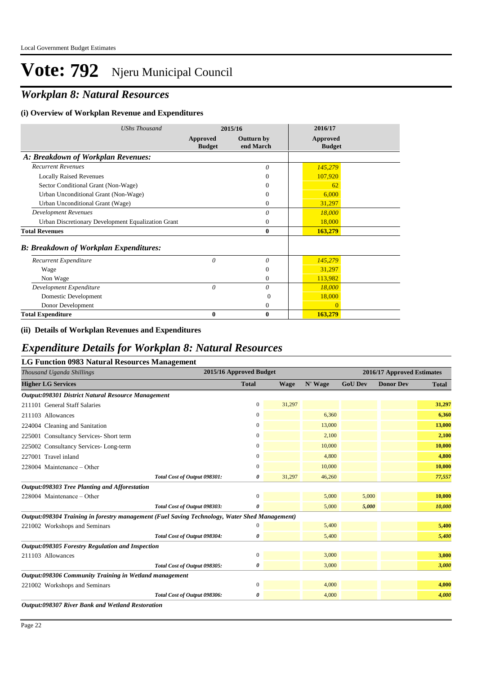## *Workplan 8: Natural Resources*

#### **(i) Overview of Workplan Revenue and Expenditures**

| <b>UShs Thousand</b>                               | 2015/16                          |                                | 2016/17                   |
|----------------------------------------------------|----------------------------------|--------------------------------|---------------------------|
|                                                    | <b>Approved</b><br><b>Budget</b> | <b>Outturn by</b><br>end March | Approved<br><b>Budget</b> |
| A: Breakdown of Workplan Revenues:                 |                                  |                                |                           |
| <b>Recurrent Revenues</b>                          |                                  | $\theta$                       | 145,279                   |
| <b>Locally Raised Revenues</b>                     |                                  | $\Omega$                       | 107,920                   |
| Sector Conditional Grant (Non-Wage)                |                                  | $\Omega$                       | 62                        |
| Urban Unconditional Grant (Non-Wage)               |                                  | $\Omega$                       | 6,000                     |
| Urban Unconditional Grant (Wage)                   |                                  | $\mathbf{0}$                   | 31,297                    |
| <b>Development Revenues</b>                        |                                  | 0                              | 18,000                    |
| Urban Discretionary Development Equalization Grant |                                  | $\mathbf{0}$                   | 18,000                    |
| <b>Total Revenues</b>                              |                                  | $\mathbf{0}$                   | 163,279                   |
| <b>B: Breakdown of Workplan Expenditures:</b>      |                                  |                                |                           |
| Recurrent Expenditure                              | 0                                | $\theta$                       | 145,279                   |
| Wage                                               |                                  | $\theta$                       | 31,297                    |
| Non Wage                                           |                                  | $\mathbf{0}$                   | 113,982                   |
| Development Expenditure                            | 0                                | 0                              | 18,000                    |
| Domestic Development                               |                                  | $\Omega$                       | 18,000                    |
| Donor Development                                  |                                  | 0                              | $\mathbf{0}$              |
| <b>Total Expenditure</b>                           | $\bf{0}$                         | $\boldsymbol{0}$               | 163,279                   |

#### **(ii) Details of Workplan Revenues and Expenditures**

### *Expenditure Details for Workplan 8: Natural Resources*

| <b>LG Function 0983 Natural Resources Management</b>                                          |                         |        |         |                            |                  |              |  |
|-----------------------------------------------------------------------------------------------|-------------------------|--------|---------|----------------------------|------------------|--------------|--|
| Thousand Uganda Shillings                                                                     | 2015/16 Approved Budget |        |         | 2016/17 Approved Estimates |                  |              |  |
| <b>Higher LG Services</b>                                                                     | <b>Total</b>            | Wage   | N' Wage | <b>GoU Dev</b>             | <b>Donor Dev</b> | <b>Total</b> |  |
| Output:098301 District Natural Resource Management                                            |                         |        |         |                            |                  |              |  |
| 211101 General Staff Salaries                                                                 | 0                       | 31,297 |         |                            |                  | 31,297       |  |
| 211103 Allowances                                                                             | 0                       |        | 6,360   |                            |                  | 6,360        |  |
| 224004 Cleaning and Sanitation                                                                | 0                       |        | 13,000  |                            |                  | 13,000       |  |
| 225001 Consultancy Services- Short term                                                       | 0                       |        | 2,100   |                            |                  | 2,100        |  |
| 225002 Consultancy Services-Long-term                                                         | 0                       |        | 10,000  |                            |                  | 10,000       |  |
| 227001 Travel inland                                                                          | $\overline{0}$          |        | 4,800   |                            |                  | 4,800        |  |
| 228004 Maintenance – Other                                                                    | 0                       |        | 10,000  |                            |                  | 10,000       |  |
| Total Cost of Output 098301:                                                                  | 0                       | 31,297 | 46,260  |                            |                  | 77,557       |  |
| Output:098303 Tree Planting and Afforestation                                                 |                         |        |         |                            |                  |              |  |
| 228004 Maintenance - Other                                                                    | 0                       |        | 5,000   | 5,000                      |                  | 10,000       |  |
| Total Cost of Output 098303:                                                                  | 0                       |        | 5,000   | 5,000                      |                  | 10,000       |  |
| Output:098304 Training in forestry management (Fuel Saving Technology, Water Shed Management) |                         |        |         |                            |                  |              |  |
| 221002 Workshops and Seminars                                                                 | 0                       |        | 5,400   |                            |                  | 5,400        |  |
| Total Cost of Output 098304:                                                                  | 0                       |        | 5,400   |                            |                  | 5,400        |  |
| Output:098305 Forestry Regulation and Inspection                                              |                         |        |         |                            |                  |              |  |
| 211103 Allowances                                                                             | $\mathbf{0}$            |        | 3,000   |                            |                  | 3,000        |  |
| Total Cost of Output 098305:                                                                  | 0                       |        | 3,000   |                            |                  | 3,000        |  |
| Output:098306 Community Training in Wetland management                                        |                         |        |         |                            |                  |              |  |
| 221002 Workshops and Seminars                                                                 | $\mathbf{0}$            |        | 4,000   |                            |                  | 4,000        |  |
| Total Cost of Output 098306:                                                                  | 0                       |        | 4,000   |                            |                  | 4,000        |  |
| Output:098307 River Bank and Wetland Restoration                                              |                         |        |         |                            |                  |              |  |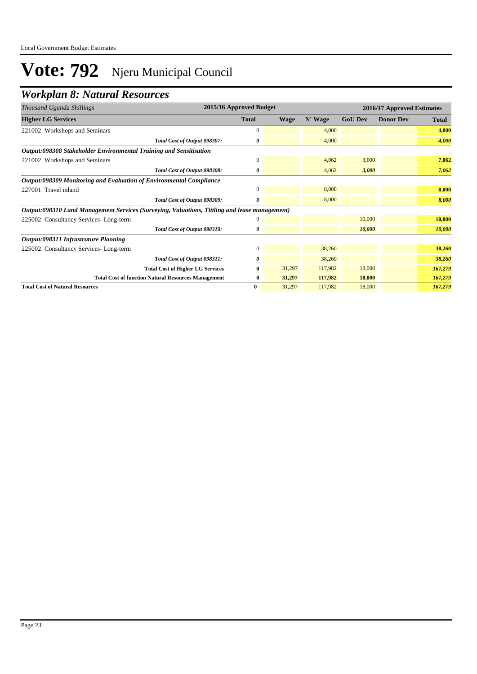## *Workplan 8: Natural Resources*

| Thousand Uganda Shillings                                                                     | 2015/16 Approved Budget                                    |              |             | 2016/17 Approved Estimates |                |                  |         |
|-----------------------------------------------------------------------------------------------|------------------------------------------------------------|--------------|-------------|----------------------------|----------------|------------------|---------|
| <b>Higher LG Services</b>                                                                     |                                                            | <b>Total</b> | <b>Wage</b> | N' Wage                    | <b>GoU Dev</b> | <b>Donor Dev</b> | Total   |
| 221002 Workshops and Seminars                                                                 |                                                            | $\mathbf{0}$ |             | 4,000                      |                |                  | 4,000   |
|                                                                                               | Total Cost of Output 098307:                               | 0            |             | 4,000                      |                |                  | 4,000   |
| Output:098308 Stakeholder Environmental Training and Sensitisation                            |                                                            |              |             |                            |                |                  |         |
| 221002 Workshops and Seminars                                                                 |                                                            | $\Omega$     |             | 4,062                      | 3,000          |                  | 7,062   |
|                                                                                               | Total Cost of Output 098308:                               | 0            |             | 4,062                      | 3,000          |                  | 7,062   |
| Output:098309 Monitoring and Evaluation of Environmental Compliance                           |                                                            |              |             |                            |                |                  |         |
| 227001 Travel inland                                                                          |                                                            | $\mathbf{0}$ |             | 8,000                      |                |                  | 8,000   |
|                                                                                               | Total Cost of Output 098309:                               | 0            |             | 8,000                      |                |                  | 8,000   |
| Output:098310 Land Management Services (Surveying, Valuations, Tittling and lease management) |                                                            |              |             |                            |                |                  |         |
| 225002 Consultancy Services-Long-term                                                         |                                                            | $\Omega$     |             |                            | 10,000         |                  | 10,000  |
|                                                                                               | Total Cost of Output 098310:                               | 0            |             |                            | 10,000         |                  | 10,000  |
| Output:098311 Infrastruture Planning                                                          |                                                            |              |             |                            |                |                  |         |
| 225002 Consultancy Services-Long-term                                                         |                                                            | $\mathbf{0}$ |             | 38,260                     |                |                  | 38,260  |
|                                                                                               | Total Cost of Output 098311:                               | 0            |             | 38,260                     |                |                  | 38,260  |
|                                                                                               | <b>Total Cost of Higher LG Services</b>                    | $\bf{0}$     | 31,297      | 117,982                    | 18,000         |                  | 167,279 |
|                                                                                               | <b>Total Cost of function Natural Resources Management</b> | $\bf{0}$     | 31,297      | 117,982                    | 18,000         |                  | 167,279 |
| <b>Total Cost of Natural Resources</b>                                                        |                                                            | $\bf{0}$     | 31,297      | 117,982                    | 18,000         |                  | 167,279 |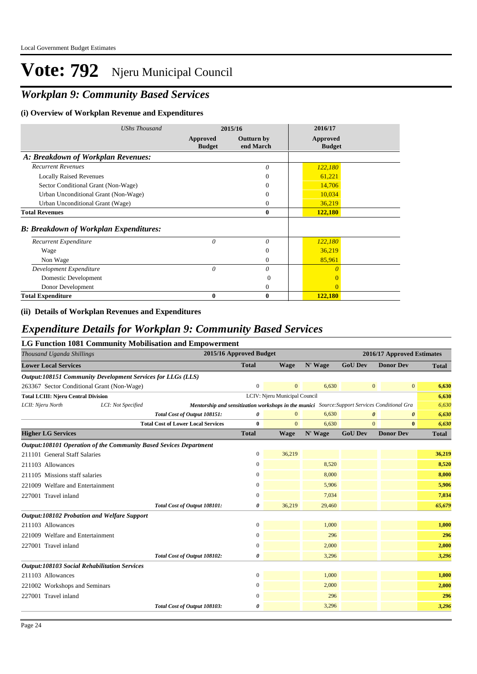## *Workplan 9: Community Based Services*

#### **(i) Overview of Workplan Revenue and Expenditures**

| <b>UShs Thousand</b>                          |                           | 2015/16                 | 2016/17                   |  |
|-----------------------------------------------|---------------------------|-------------------------|---------------------------|--|
|                                               | Approved<br><b>Budget</b> | Outturn by<br>end March | Approved<br><b>Budget</b> |  |
| A: Breakdown of Workplan Revenues:            |                           |                         |                           |  |
| <b>Recurrent Revenues</b>                     |                           | 0                       | 122,180                   |  |
| <b>Locally Raised Revenues</b>                |                           | $\theta$                | 61,221                    |  |
| Sector Conditional Grant (Non-Wage)           |                           | 0                       | 14,706                    |  |
| Urban Unconditional Grant (Non-Wage)          |                           | 0                       | 10,034                    |  |
| Urban Unconditional Grant (Wage)              |                           | 0                       | 36,219                    |  |
| <b>Total Revenues</b>                         |                           | 0                       | 122,180                   |  |
| <b>B: Breakdown of Workplan Expenditures:</b> |                           |                         |                           |  |
| Recurrent Expenditure                         | 0                         | $\theta$                | 122,180                   |  |
| Wage                                          |                           | $\theta$                | 36,219                    |  |
| Non Wage                                      |                           | $\Omega$                | 85,961                    |  |
| Development Expenditure                       | 0                         | 0                       | $\Omega$                  |  |
| Domestic Development                          |                           | $\Omega$                | $\Omega$                  |  |
| Donor Development                             |                           | 0                       | $\Omega$                  |  |
| <b>Total Expenditure</b>                      | $\bf{0}$                  | 0                       | 122,180                   |  |

#### **(ii) Details of Workplan Revenues and Expenditures**

#### *Expenditure Details for Workplan 9: Community Based Services*

#### **LG Function 1081 Community Mobilisation and Empowerment**

| Thousand Uganda Shillings                                         |                    | 2015/16 Approved Budget                                                                       |                  |                               |         |                       | 2016/17 Approved Estimates |              |  |  |
|-------------------------------------------------------------------|--------------------|-----------------------------------------------------------------------------------------------|------------------|-------------------------------|---------|-----------------------|----------------------------|--------------|--|--|
| <b>Lower Local Services</b>                                       |                    |                                                                                               | <b>Total</b>     | Wage                          | N' Wage | <b>GoU Dev</b>        | <b>Donor Dev</b>           | <b>Total</b> |  |  |
| Output:108151 Community Development Services for LLGs (LLS)       |                    |                                                                                               |                  |                               |         |                       |                            |              |  |  |
| 263367 Sector Conditional Grant (Non-Wage)                        |                    |                                                                                               | $\boldsymbol{0}$ | $\Omega$                      | 6,630   | $\mathbf{0}$          | $\mathbf{0}$               | 6,630        |  |  |
| <b>Total LCIII: Njeru Central Division</b>                        |                    |                                                                                               |                  | LCIV: Njeru Municipal Council |         |                       |                            | 6,630        |  |  |
| LCII: Njeru North                                                 | LCI: Not Specified | Mentorship and sensitization workshops in the munici Source: Support Services Conditional Gra |                  |                               |         |                       |                            | 6,630        |  |  |
|                                                                   |                    | Total Cost of Output 108151:                                                                  | 0                |                               | 6.630   | $\boldsymbol{\theta}$ | 0                          | 6,630        |  |  |
|                                                                   |                    | <b>Total Cost of Lower Local Services</b>                                                     | $\bf{0}$         | $\Omega$                      | 6,630   | $\mathbf{0}$          | $\bf{0}$                   | 6,630        |  |  |
| <b>Higher LG Services</b>                                         |                    |                                                                                               | <b>Total</b>     | <b>Wage</b>                   | N' Wage | <b>GoU Dev</b>        | <b>Donor Dev</b>           | <b>Total</b> |  |  |
| Output:108101 Operation of the Community Based Sevices Department |                    |                                                                                               |                  |                               |         |                       |                            |              |  |  |
| 211101 General Staff Salaries                                     |                    |                                                                                               | $\mathbf{0}$     | 36,219                        |         |                       |                            | 36,219       |  |  |
| 211103 Allowances                                                 |                    |                                                                                               | 0                |                               | 8,520   |                       |                            | 8,520        |  |  |
| 211105 Missions staff salaries                                    |                    |                                                                                               | 0                |                               | 8,000   |                       |                            | 8,000        |  |  |
| 221009 Welfare and Entertainment                                  |                    |                                                                                               | 0                |                               | 5,906   |                       |                            | 5,906        |  |  |
| 227001 Travel inland                                              |                    |                                                                                               | 0                |                               | 7,034   |                       |                            | 7,034        |  |  |
|                                                                   |                    | Total Cost of Output 108101:                                                                  | 0                | 36,219                        | 29,460  |                       |                            | 65,679       |  |  |
| Output:108102 Probation and Welfare Support                       |                    |                                                                                               |                  |                               |         |                       |                            |              |  |  |
| 211103 Allowances                                                 |                    |                                                                                               | $\mathbf{0}$     |                               | 1,000   |                       |                            | 1,000        |  |  |
| 221009 Welfare and Entertainment                                  |                    |                                                                                               | $\Omega$         |                               | 296     |                       |                            | 296          |  |  |
| 227001 Travel inland                                              |                    |                                                                                               | $\mathbf{0}$     |                               | 2,000   |                       |                            | 2,000        |  |  |
|                                                                   |                    | Total Cost of Output 108102:                                                                  | 0                |                               | 3,296   |                       |                            | 3,296        |  |  |
| <b>Output:108103 Social Rehabilitation Services</b>               |                    |                                                                                               |                  |                               |         |                       |                            |              |  |  |
| 211103 Allowances                                                 |                    |                                                                                               | $\mathbf{0}$     |                               | 1,000   |                       |                            | 1,000        |  |  |
| 221002 Workshops and Seminars                                     |                    |                                                                                               | $\overline{0}$   |                               | 2,000   |                       |                            | 2,000        |  |  |
| 227001 Travel inland                                              |                    |                                                                                               | $\Omega$         |                               | 296     |                       |                            | 296          |  |  |
|                                                                   |                    | Total Cost of Output 108103:                                                                  | 0                |                               | 3,296   |                       |                            | 3,296        |  |  |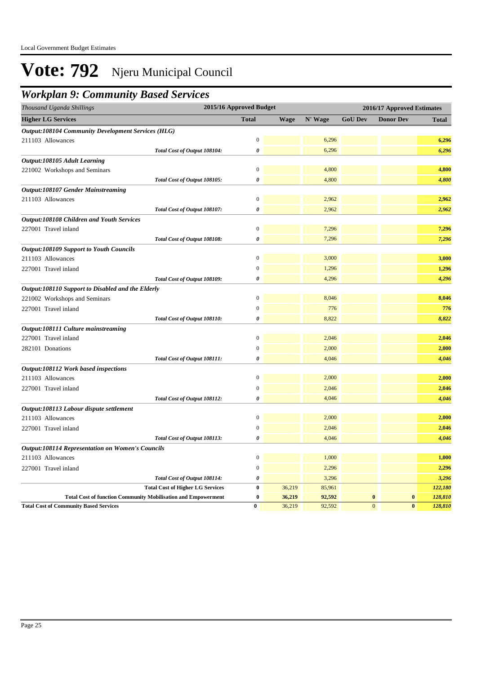## *Workplan 9: Community Based Services*

| Thousand Uganda Shillings                                            | 2015/16 Approved Budget | 2016/17 Approved Estimates |         |                |                            |              |
|----------------------------------------------------------------------|-------------------------|----------------------------|---------|----------------|----------------------------|--------------|
| <b>Higher LG Services</b>                                            | <b>Total</b>            | <b>Wage</b>                | N' Wage | <b>GoU Dev</b> | <b>Donor Dev</b>           | <b>Total</b> |
| <b>Output:108104 Community Development Services (HLG)</b>            |                         |                            |         |                |                            |              |
| 211103 Allowances                                                    | 0                       |                            | 6,296   |                |                            | 6,296        |
| Total Cost of Output 108104:                                         | 0                       |                            | 6,296   |                |                            | 6,296        |
| Output:108105 Adult Learning                                         |                         |                            |         |                |                            |              |
| 221002 Workshops and Seminars                                        | $\boldsymbol{0}$        |                            | 4,800   |                |                            | 4,800        |
| Total Cost of Output 108105:                                         | 0                       |                            | 4,800   |                |                            | 4,800        |
| <b>Output:108107 Gender Mainstreaming</b>                            |                         |                            |         |                |                            |              |
| 211103 Allowances                                                    | $\boldsymbol{0}$        |                            | 2,962   |                |                            | 2,962        |
| Total Cost of Output 108107:                                         | 0                       |                            | 2,962   |                |                            | 2,962        |
| Output:108108 Children and Youth Services                            |                         |                            |         |                |                            |              |
| 227001 Travel inland                                                 | $\theta$                |                            | 7,296   |                |                            | 7,296        |
| Total Cost of Output 108108:                                         | 0                       |                            | 7,296   |                |                            | 7,296        |
| <b>Output:108109 Support to Youth Councils</b>                       |                         |                            |         |                |                            |              |
| 211103 Allowances                                                    | $\Omega$                |                            | 3,000   |                |                            | 3,000        |
| 227001 Travel inland                                                 | $\mathbf{0}$            |                            | 1,296   |                |                            | 1,296        |
| Total Cost of Output 108109:                                         | 0                       |                            | 4,296   |                |                            | 4,296        |
| Output:108110 Support to Disabled and the Elderly                    |                         |                            |         |                |                            |              |
| 221002 Workshops and Seminars                                        | $\boldsymbol{0}$        |                            | 8,046   |                |                            | 8,046        |
| 227001 Travel inland                                                 | $\mathbf{0}$            |                            | 776     |                |                            | 776          |
| Total Cost of Output 108110:                                         | 0                       |                            | 8,822   |                |                            | 8,822        |
| Output:108111 Culture mainstreaming                                  |                         |                            |         |                |                            |              |
| 227001 Travel inland                                                 | $\overline{0}$          |                            | 2,046   |                |                            | 2,046        |
| 282101 Donations                                                     | $\overline{0}$          |                            | 2,000   |                |                            | 2,000        |
| Total Cost of Output 108111:                                         | 0                       |                            | 4,046   |                |                            | 4,046        |
| Output:108112 Work based inspections                                 |                         |                            |         |                |                            |              |
| 211103 Allowances                                                    | $\boldsymbol{0}$        |                            | 2,000   |                |                            | 2,000        |
| 227001 Travel inland                                                 | $\overline{0}$          |                            | 2,046   |                |                            | 2,046        |
| Total Cost of Output 108112:                                         | 0                       |                            | 4,046   |                |                            | 4,046        |
| Output:108113 Labour dispute settlement                              |                         |                            |         |                |                            |              |
| 211103 Allowances                                                    | $\boldsymbol{0}$        |                            | 2,000   |                |                            | 2,000        |
| 227001 Travel inland                                                 | $\overline{0}$          |                            | 2,046   |                |                            | 2,046        |
| Total Cost of Output 108113:                                         | 0                       |                            | 4,046   |                |                            | 4,046        |
| <b>Output:108114 Representation on Women's Councils</b>              |                         |                            |         |                |                            |              |
| 211103 Allowances                                                    | $\mathbf{0}$            |                            | 1,000   |                |                            | 1,000        |
| 227001 Travel inland                                                 | $\boldsymbol{0}$        |                            | 2,296   |                |                            | 2,296        |
| Total Cost of Output 108114:                                         | 0                       |                            | 3,296   |                |                            | 3,296        |
| <b>Total Cost of Higher LG Services</b>                              | $\bf{0}$                | 36,219                     | 85,961  |                |                            | 122,180      |
| <b>Total Cost of function Community Mobilisation and Empowerment</b> | $\bf{0}$                | 36,219                     | 92,592  |                | $\bf{0}$<br>$\bf{0}$       | 128,810      |
| <b>Total Cost of Community Based Services</b>                        | $\bf{0}$                | 36,219                     | 92,592  |                | $\overline{0}$<br>$\bf{0}$ | 128,810      |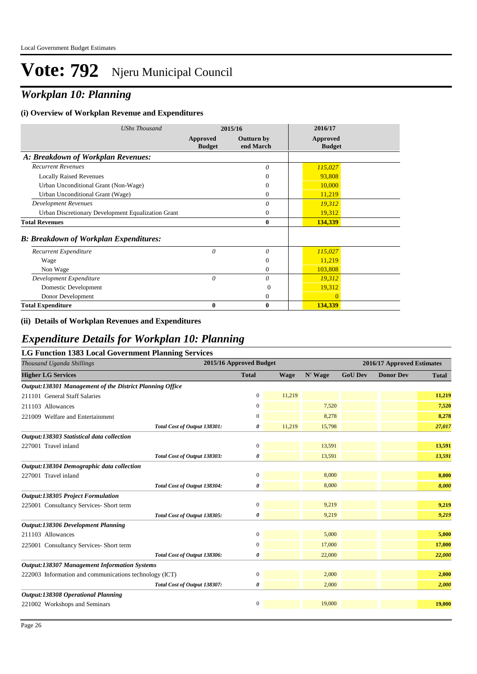## *Workplan 10: Planning*

#### **(i) Overview of Workplan Revenue and Expenditures**

| <b>UShs Thousand</b>                               |                           | 2015/16                        | 2016/17                   |
|----------------------------------------------------|---------------------------|--------------------------------|---------------------------|
|                                                    | Approved<br><b>Budget</b> | <b>Outturn by</b><br>end March | Approved<br><b>Budget</b> |
| A: Breakdown of Workplan Revenues:                 |                           |                                |                           |
| <b>Recurrent Revenues</b>                          |                           | 0                              | 115,027                   |
| <b>Locally Raised Revenues</b>                     |                           | $\theta$                       | 93,808                    |
| Urban Unconditional Grant (Non-Wage)               |                           | $\theta$                       | 10,000                    |
| Urban Unconditional Grant (Wage)                   |                           | $\Omega$                       | 11,219                    |
| <b>Development Revenues</b>                        |                           | $\theta$                       | 19,312                    |
| Urban Discretionary Development Equalization Grant |                           | $\overline{0}$                 | 19,312                    |
| <b>Total Revenues</b>                              |                           | $\bf{0}$                       | 134,339                   |
| <b>B: Breakdown of Workplan Expenditures:</b>      |                           |                                |                           |
| Recurrent Expenditure                              | 0                         | $\theta$                       | 115,027                   |
| Wage                                               |                           | $\theta$                       | 11,219                    |
| Non Wage                                           |                           | $\Omega$                       | 103,808                   |
| Development Expenditure                            | $\theta$                  | 0                              | 19,312                    |
| Domestic Development                               |                           | $\Omega$                       | 19,312                    |
| Donor Development                                  |                           | 0                              | $\Omega$                  |
| <b>Total Expenditure</b>                           | 0                         | $\mathbf{0}$                   | 134,339                   |

#### **(ii) Details of Workplan Revenues and Expenditures**

#### *Expenditure Details for Workplan 10: Planning*

#### **LG Function 1383 Local Government Planning Services**

| Thousand Uganda Shillings                                | 2015/16 Approved Budget |             |         | 2016/17 Approved Estimates |                  |              |  |
|----------------------------------------------------------|-------------------------|-------------|---------|----------------------------|------------------|--------------|--|
| <b>Higher LG Services</b>                                | <b>Total</b>            | <b>Wage</b> | N' Wage | <b>GoU Dev</b>             | <b>Donor Dev</b> | <b>Total</b> |  |
| Output:138301 Management of the District Planning Office |                         |             |         |                            |                  |              |  |
| 211101 General Staff Salaries                            | $\mathbf{0}$            | 11,219      |         |                            |                  | 11,219       |  |
| 211103 Allowances                                        | $\mathbf{0}$            |             | 7,520   |                            |                  | 7,520        |  |
| 221009 Welfare and Entertainment                         | $\mathbf{0}$            |             | 8,278   |                            |                  | 8,278        |  |
| Total Cost of Output 138301:                             | 0                       | 11,219      | 15,798  |                            |                  | 27,017       |  |
| Output:138303 Statistical data collection                |                         |             |         |                            |                  |              |  |
| 227001 Travel inland                                     | $\boldsymbol{0}$        |             | 13,591  |                            |                  | 13,591       |  |
| Total Cost of Output 138303:                             | 0                       |             | 13,591  |                            |                  | 13,591       |  |
| Output:138304 Demographic data collection                |                         |             |         |                            |                  |              |  |
| 227001 Travel inland                                     | $\mathbf{0}$            |             | 8,000   |                            |                  | 8,000        |  |
| Total Cost of Output 138304:                             | 0                       |             | 8,000   |                            |                  | 8,000        |  |
| <b>Output:138305 Project Formulation</b>                 |                         |             |         |                            |                  |              |  |
| 225001 Consultancy Services- Short term                  | $\mathbf{0}$            |             | 9,219   |                            |                  | 9,219        |  |
| Total Cost of Output 138305:                             | 0                       |             | 9,219   |                            |                  | 9,219        |  |
| <b>Output:138306 Development Planning</b>                |                         |             |         |                            |                  |              |  |
| 211103 Allowances                                        | $\boldsymbol{0}$        |             | 5,000   |                            |                  | 5,000        |  |
| 225001 Consultancy Services- Short term                  | $\boldsymbol{0}$        |             | 17,000  |                            |                  | 17,000       |  |
| Total Cost of Output 138306:                             | 0                       |             | 22,000  |                            |                  | 22,000       |  |
| <b>Output:138307 Management Information Systems</b>      |                         |             |         |                            |                  |              |  |
| 222003 Information and communications technology (ICT)   | $\boldsymbol{0}$        |             | 2,000   |                            |                  | 2,000        |  |
| Total Cost of Output 138307:                             | 0                       |             | 2,000   |                            |                  | 2,000        |  |
| Output:138308 Operational Planning                       |                         |             |         |                            |                  |              |  |
| 221002 Workshops and Seminars                            | $\mathbf{0}$            |             | 19,000  |                            |                  | 19,000       |  |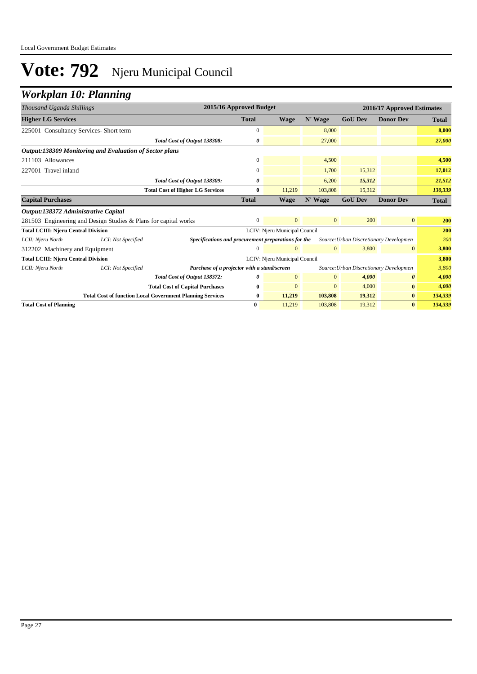## *Workplan 10: Planning*

| Thousand Uganda Shillings                  |                                                                  | 2015/16 Approved Budget                             |                               |                               |                | 2016/17 Approved Estimates             |                       |              |
|--------------------------------------------|------------------------------------------------------------------|-----------------------------------------------------|-------------------------------|-------------------------------|----------------|----------------------------------------|-----------------------|--------------|
| <b>Higher LG Services</b>                  |                                                                  |                                                     | <b>Total</b>                  | <b>Wage</b>                   | N' Wage        | <b>GoU Dev</b>                         | <b>Donor Dev</b>      | <b>Total</b> |
| 225001 Consultancy Services- Short term    |                                                                  |                                                     | $\Omega$                      |                               | 8,000          |                                        |                       | 8,000        |
|                                            |                                                                  | Total Cost of Output 138308:                        | 0                             |                               | 27,000         |                                        |                       | 27,000       |
|                                            | <b>Output:138309 Monitoring and Evaluation of Sector plans</b>   |                                                     |                               |                               |                |                                        |                       |              |
| 211103 Allowances                          |                                                                  |                                                     | $\mathbf{0}$                  |                               | 4,500          |                                        |                       | 4,500        |
| 227001 Travel inland                       |                                                                  |                                                     | $\Omega$                      |                               | 1,700          | 15,312                                 |                       | 17,012       |
|                                            |                                                                  | Total Cost of Output 138309:                        | 0                             |                               | 6,200          | 15,312                                 |                       | 21,512       |
|                                            |                                                                  | <b>Total Cost of Higher LG Services</b>             | $\bf{0}$                      | 11,219                        | 103,808        | 15,312                                 |                       | 130,339      |
| <b>Capital Purchases</b>                   |                                                                  |                                                     | <b>Total</b>                  | <b>Wage</b>                   | N' Wage        | <b>GoU Dev</b>                         | <b>Donor Dev</b>      | <b>Total</b> |
| Output:138372 Administrative Capital       |                                                                  |                                                     |                               |                               |                |                                        |                       |              |
|                                            | 281503 Engineering and Design Studies & Plans for capital works  |                                                     | $\overline{0}$                | $\overline{0}$                | $\mathbf{0}$   | 200                                    | $\overline{0}$        | 200          |
| <b>Total LCIII: Njeru Central Division</b> |                                                                  |                                                     | LCIV: Njeru Municipal Council |                               |                |                                        |                       | 200          |
| LCII: Njeru North                          | LCI: Not Specified                                               | Specifications and procurement preparations for the |                               |                               |                | Source: Urban Discretionary Developmen |                       | 200          |
| 312202 Machinery and Equipment             |                                                                  |                                                     | 0                             | $\Omega$                      | $\overline{0}$ | 3,800                                  | $\mathbf{0}$          | 3,800        |
| <b>Total LCIII: Njeru Central Division</b> |                                                                  |                                                     |                               | LCIV: Njeru Municipal Council |                |                                        |                       | 3,800        |
| LCII: Njeru North                          | LCI: Not Specified                                               | Purchase of a projector with a stand/screen         |                               |                               |                | Source: Urban Discretionary Developmen |                       | 3,800        |
|                                            |                                                                  | Total Cost of Output 138372:                        | 0                             | $\mathbf{0}$                  | $\mathbf{0}$   | 4,000                                  | $\boldsymbol{\theta}$ | 4,000        |
|                                            |                                                                  | <b>Total Cost of Capital Purchases</b>              | 0                             | $\mathbf{0}$                  | $\mathbf{0}$   | 4,000                                  | $\bf{0}$              | 4,000        |
|                                            | <b>Total Cost of function Local Government Planning Services</b> |                                                     | $\bf{0}$                      | 11,219                        | 103,808        | 19,312                                 | $\bf{0}$              | 134,339      |
| <b>Total Cost of Planning</b>              |                                                                  |                                                     | $\bf{0}$                      | 11,219                        | 103,808        | 19,312                                 | $\bf{0}$              | 134,339      |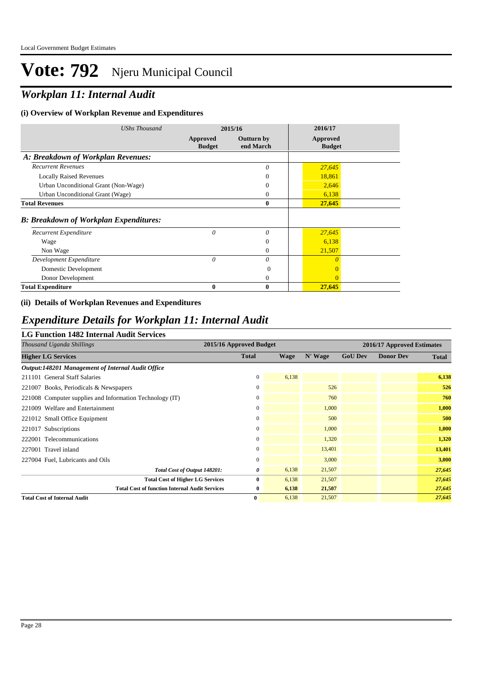## *Workplan 11: Internal Audit*

#### **(i) Overview of Workplan Revenue and Expenditures**

| <b>UShs Thousand</b>                          | 2015/16                   |                                | 2016/17                   |  |
|-----------------------------------------------|---------------------------|--------------------------------|---------------------------|--|
|                                               | Approved<br><b>Budget</b> | <b>Outturn by</b><br>end March | Approved<br><b>Budget</b> |  |
| A: Breakdown of Workplan Revenues:            |                           |                                |                           |  |
| <b>Recurrent Revenues</b>                     |                           | $\theta$                       | 27,645                    |  |
| <b>Locally Raised Revenues</b>                |                           | $\theta$                       | 18,861                    |  |
| Urban Unconditional Grant (Non-Wage)          |                           | $\Omega$                       | 2,646                     |  |
| Urban Unconditional Grant (Wage)              |                           | $\theta$                       | 6,138                     |  |
| <b>Total Revenues</b>                         |                           | $\bf{0}$                       | 27,645                    |  |
| <b>B: Breakdown of Workplan Expenditures:</b> |                           |                                |                           |  |
| Recurrent Expenditure                         | 0                         | $\theta$                       | 27,645                    |  |
| Wage                                          |                           | $\Omega$                       | 6,138                     |  |
| Non Wage                                      |                           | $\Omega$                       | 21,507                    |  |
| Development Expenditure                       | $\theta$                  | $\theta$                       | $\theta$                  |  |
| Domestic Development                          |                           | $\Omega$                       |                           |  |
| Donor Development                             |                           | $\theta$                       | $\Omega$                  |  |
| <b>Total Expenditure</b>                      | $\mathbf{0}$              | $\mathbf{0}$                   | 27,645                    |  |

#### **(ii) Details of Workplan Revenues and Expenditures**

#### *Expenditure Details for Workplan 11: Internal Audit*

#### **LG Function 1482 Internal Audit Services**

| Thousand Uganda Shillings                                | 2015/16 Approved Budget |       |         | 2016/17 Approved Estimates |                  |              |  |
|----------------------------------------------------------|-------------------------|-------|---------|----------------------------|------------------|--------------|--|
| <b>Higher LG Services</b>                                | <b>Total</b>            | Wage  | N' Wage | <b>GoU Dev</b>             | <b>Donor Dev</b> | <b>Total</b> |  |
| Output:148201 Management of Internal Audit Office        |                         |       |         |                            |                  |              |  |
| 211101 General Staff Salaries                            | $\mathbf{0}$            | 6,138 |         |                            |                  | 6,138        |  |
| 221007 Books, Periodicals & Newspapers                   | $\mathbf{0}$            |       | 526     |                            |                  | 526          |  |
| 221008 Computer supplies and Information Technology (IT) | $\boldsymbol{0}$        |       | 760     |                            |                  | 760          |  |
| 221009 Welfare and Entertainment                         | $\mathbf{0}$            |       | 1,000   |                            |                  | 1,000        |  |
| 221012 Small Office Equipment                            | $\mathbf{0}$            |       | 500     |                            |                  | 500          |  |
| 221017 Subscriptions                                     | $\mathbf{0}$            |       | 1,000   |                            |                  | 1,000        |  |
| 222001 Telecommunications                                | $\mathbf{0}$            |       | 1,320   |                            |                  | 1,320        |  |
| 227001 Travel inland                                     | $\mathbf{0}$            |       | 13,401  |                            |                  | 13,401       |  |
| 227004 Fuel, Lubricants and Oils                         | $\mathbf{0}$            |       | 3,000   |                            |                  | 3,000        |  |
| Total Cost of Output 148201:                             | 0                       | 6,138 | 21,507  |                            |                  | 27,645       |  |
| <b>Total Cost of Higher LG Services</b>                  | 0                       | 6,138 | 21,507  |                            |                  | 27,645       |  |
| <b>Total Cost of function Internal Audit Services</b>    | $\bf{0}$                | 6,138 | 21,507  |                            |                  | 27,645       |  |
| <b>Total Cost of Internal Audit</b>                      | $\bf{0}$                | 6,138 | 21,507  |                            |                  | 27,645       |  |